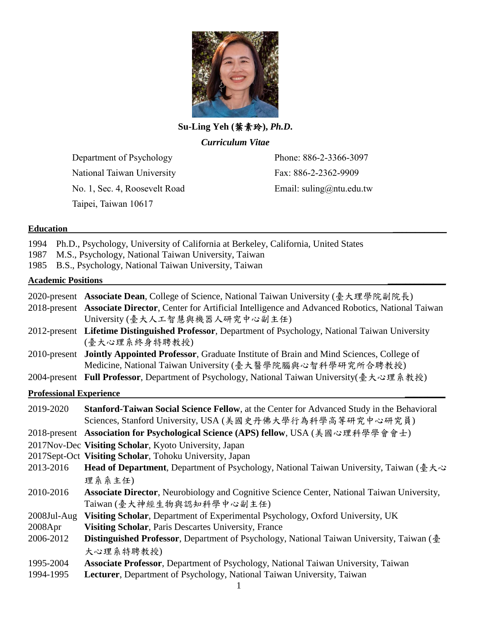

**Su-Ling Yeh (**葉素玲**),** *Ph.D***.**

*Curriculum Vitae*

Department of Psychology National Taiwan University No. 1, Sec. 4, Roosevelt Road Taipei, Taiwan 10617

Phone: 886-2-3366-3097 Fax: 886-2-2362-9909 Email: suling@ntu.edu.tw

| Ph.D., Psychology, University of California at Berkeley, California, United States<br>M.S., Psychology, National Taiwan University, Taiwan<br>B.S., Psychology, National Taiwan University, Taiwan                                     |
|----------------------------------------------------------------------------------------------------------------------------------------------------------------------------------------------------------------------------------------|
| <b>Academic Positions</b>                                                                                                                                                                                                              |
| 2020-present Associate Dean, College of Science, National Taiwan University (臺大理學院副院長)<br>2018-present Associate Director, Center for Artificial Intelligence and Advanced Robotics, National Taiwan<br>University (臺大人工智慧與機器人研究中心副主任) |
| 2012-present Lifetime Distinguished Professor, Department of Psychology, National Taiwan University<br>(臺大心理系終身特聘教授)                                                                                                                   |
| Jointly Appointed Professor, Graduate Institute of Brain and Mind Sciences, College of<br>Medicine, National Taiwan University (臺大醫學院腦與心智科學研究所合聘教授)                                                                                    |
| 2004-present Full Professor, Department of Psychology, National Taiwan University(臺大心理系教授)                                                                                                                                             |
| <b>Professional Experience</b>                                                                                                                                                                                                         |
| Stanford-Taiwan Social Science Fellow, at the Center for Advanced Study in the Behavioral<br>Sciences, Stanford University, USA (美國史丹佛大學行為科學高等研究中心研究員)                                                                                 |
| 2018-present Association for Psychological Science (APS) fellow, USA (美國心理科學學會會士)<br>2017Nov-Dec Visiting Scholar, Kyoto University, Japan                                                                                             |
| 2017Sept-Oct Visiting Scholar, Tohoku University, Japan<br>Head of Department, Department of Psychology, National Taiwan University, Taiwan (臺大心<br>理系系主任)                                                                             |
| Associate Director, Neurobiology and Cognitive Science Center, National Taiwan University,<br>Taiwan (臺大神經生物與認知科學中心副主任)                                                                                                                |
| Visiting Scholar, Department of Experimental Psychology, Oxford University, UK<br>Visiting Scholar, Paris Descartes University, France                                                                                                 |
| Distinguished Professor, Department of Psychology, National Taiwan University, Taiwan (臺<br>大心理系特聘教授)                                                                                                                                  |
| Associate Professor, Department of Psychology, National Taiwan University, Taiwan<br>Lecturer, Department of Psychology, National Taiwan University, Taiwan                                                                            |
|                                                                                                                                                                                                                                        |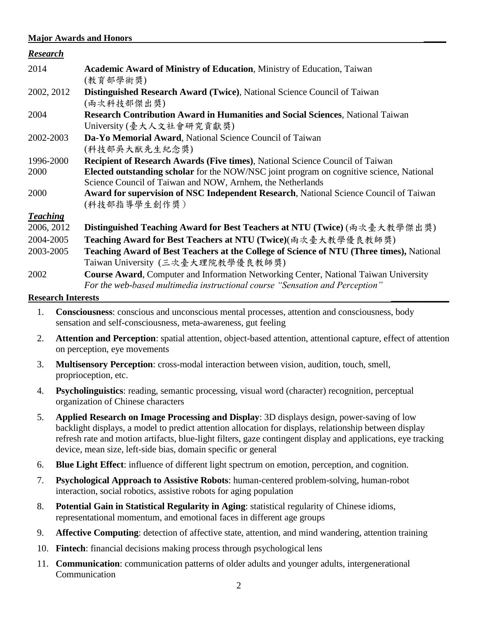#### **Major Awards and Honors \_\_\_\_\_**

| <u>Research</u> |                                                                                              |
|-----------------|----------------------------------------------------------------------------------------------|
| 2014            | <b>Academic Award of Ministry of Education, Ministry of Education, Taiwan</b>                |
|                 | (教育部學術獎)                                                                                     |
| 2002, 2012      | Distinguished Research Award (Twice), National Science Council of Taiwan                     |
|                 | (兩次科技部傑出獎)                                                                                   |
| 2004            | <b>Research Contribution Award in Humanities and Social Sciences, National Taiwan</b>        |
|                 | University (臺大人文社會研究貢獻獎)                                                                     |
| 2002-2003       | Da-Yo Memorial Award, National Science Council of Taiwan                                     |
|                 | (科技部吳大猷先生紀念獎)                                                                                |
| 1996-2000       | <b>Recipient of Research Awards (Five times), National Science Council of Taiwan</b>         |
| 2000            | Elected outstanding scholar for the NOW/NSC joint program on cognitive science, National     |
|                 | Science Council of Taiwan and NOW, Arnhem, the Netherlands                                   |
| 2000            | <b>Award for supervision of NSC Independent Research, National Science Council of Taiwan</b> |
|                 | (科技部指導學生創作獎)                                                                                 |
| <b>Teaching</b> |                                                                                              |
| 2006, 2012      | Distinguished Teaching Award for Best Teachers at NTU (Twice) (兩次臺大教學傑出獎)                    |
| 2004-2005       | Teaching Award for Best Teachers at NTU (Twice)(兩次臺大教學優良教師獎)                                 |
| 2003-2005       | Teaching Award of Best Teachers at the College of Science of NTU (Three times), National     |
|                 | Taiwan University (三次臺大理院教學優良教師獎)                                                            |
| 2002            | <b>Course Award, Computer and Information Networking Center, National Taiwan University</b>  |
|                 | For the web-based multimedia instructional course "Sensation and Perception"                 |

#### **Research Interests \_\_\_\_\_\_\_\_\_\_\_\_\_**

- 1. **Consciousness**: conscious and unconscious mental processes, attention and consciousness, body sensation and self-consciousness, meta-awareness, gut feeling
- 2. **Attention and Perception**: spatial attention, object-based attention, attentional capture, effect of attention on perception, eye movements
- 3. **Multisensory Perception**: cross-modal interaction between vision, audition, touch, smell, proprioception, etc.
- 4. **Psycholinguistics**: reading, semantic processing, visual word (character) recognition, perceptual organization of Chinese characters
- 5. **Applied Research on Image Processing and Display**: 3D displays design, power-saving of low backlight displays, a model to predict attention allocation for displays, relationship between display refresh rate and motion artifacts, blue-light filters, gaze contingent display and applications, eye tracking device, mean size, left-side bias, domain specific or general
- 6. **Blue Light Effect**: influence of different light spectrum on emotion, perception, and cognition.
- 7. **Psychological Approach to Assistive Robots**: human-centered problem-solving, human-robot interaction, social robotics, assistive robots for aging population
- 8. **Potential Gain in Statistical Regularity in Aging**: statistical regularity of Chinese idioms, representational momentum, and emotional faces in different age groups
- 9. **Affective Computing**: detection of affective state, attention, and mind wandering, attention training
- 10. **Fintech**: financial decisions making process through psychological lens
- 11. **Communication**: communication patterns of older adults and younger adults, intergenerational Communication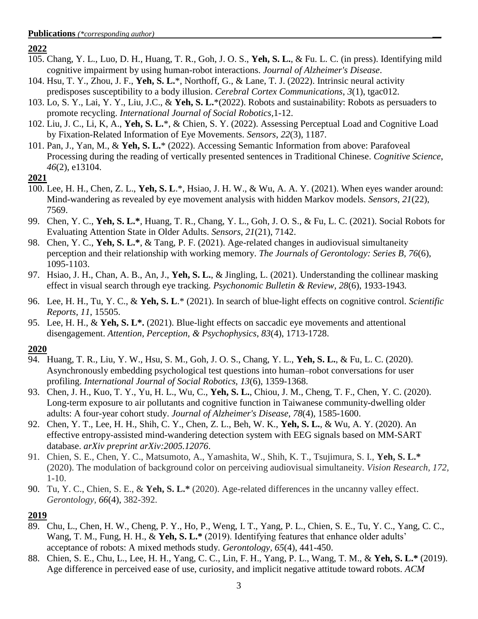#### **2022**

- 105. Chang, Y. L., Luo, D. H., Huang, T. R., Goh, J. O. S., **Yeh, S. L.**, & Fu. L. C. (in press). Identifying mild cognitive impairment by using human-robot interactions. *Journal of Alzheimer's Disease*.
- 104. Hsu, T. Y., Zhou, J. F., **Yeh, S. L.**\*, Northoff, G., & Lane, T. J. (2022). Intrinsic neural activity predisposes susceptibility to a body illusion. *Cerebral Cortex Communications*, *3*(1), tgac012.
- 103. Lo, S. Y., Lai, Y. Y., Liu, J.C., & **Yeh, S. L.**\*(2022). Robots and sustainability: Robots as persuaders to promote recycling. *International Journal of Social Robotics,*1-12.
- 102. Liu, J. C., Li, K, A., **Yeh, S. L.**\*, & Chien, S. Y. (2022). Assessing Perceptual Load and Cognitive Load by Fixation-Related Information of Eye Movements. *Sensors*, *22*(3), 1187.
- 101. Pan, J., Yan, M., & **Yeh, S. L.**\* (2022). Accessing Semantic Information from above: Parafoveal Processing during the reading of vertically presented sentences in Traditional Chinese. *Cognitive Science*, *46*(2), e13104.

#### **2021**

- 100. Lee, H. H., Chen, Z. L., **Yeh, S. L**.\*, Hsiao, J. H. W., & Wu, A. A. Y. (2021). When eyes wander around: Mind-wandering as revealed by eye movement analysis with hidden Markov models. *Sensors*, *21*(22), 7569.
- 99. Chen, Y. C., **Yeh, S. L.\***, Huang, T. R., Chang, Y. L., Goh, J. O. S., & Fu, L. C. (2021). Social Robots for Evaluating Attention State in Older Adults. *Sensors*, *21*(21), 7142.
- 98. Chen, Y. C., **Yeh, S. L.\***, & Tang, P. F. (2021). Age-related changes in audiovisual simultaneity perception and their relationship with working memory. *The Journals of Gerontology: Series B, 76*(6), 1095-1103.
- 97. Hsiao, J. H., Chan, A. B., An, J., **Yeh, S. L.**, & Jingling, L. (2021). Understanding the collinear masking effect in visual search through eye tracking. *Psychonomic Bulletin & Review, 28*(6), 1933-1943*.*
- 96. Lee, H. H., Tu, Y. C., & **Yeh, S. L**.\* (2021). In search of blue-light effects on cognitive control. *Scientific Reports*, *11*, 15505.
- 95. Lee, H. H., & **Yeh, S. L\*.** (2021). Blue-light effects on saccadic eye movements and attentional disengagement. *Attention, Perception, & Psychophysics*, *83*(4), 1713-1728.

### **2020**

- 94. Huang, T. R., Liu, Y. W., Hsu, S. M., Goh, J. O. S., Chang, Y. L., **Yeh, S. L.**, & Fu, L. C. (2020). Asynchronously embedding psychological test questions into human–robot conversations for user profiling. *International Journal of Social Robotics, 13*(6), 1359-1368.
- 93. Chen, J. H., Kuo, T. Y., Yu, H. L., Wu, C., **Yeh, S. L.**, Chiou, J. M., Cheng, T. F., Chen, Y. C. (2020). Long-term exposure to air pollutants and cognitive function in Taiwanese community-dwelling older adults: A four-year cohort study. *Journal of Alzheimer's Disease, 78*(4), 1585-1600.
- 92. Chen, Y. T., Lee, H. H., Shih, C. Y., Chen, Z. L., Beh, W. K., **Yeh, S. L.**, & Wu, A. Y. (2020). An effective entropy-assisted mind-wandering detection system with EEG signals based on MM-SART database. *arXiv preprint arXiv:2005.12076*.
- 91. Chien, S. E., Chen, Y. C., Matsumoto, A., Yamashita, W., Shih, K. T., Tsujimura, S. I., **Yeh, S. L.\*** (2020). The modulation of background color on perceiving audiovisual simultaneity. *Vision Research, 172,*  $1-10.$
- 90. Tu, Y. C., Chien, S. E., & **Yeh, S. L.\*** (2020). Age-related differences in the uncanny valley effect. *Gerontology, 66*(4), 382-392.

- 89. Chu, L., Chen, H. W., Cheng, P. Y., Ho, P., Weng, I. T., Yang, P. L., Chien, S. E., Tu, Y. C., Yang, C. C., Wang, T. M., Fung, H. H., & **Yeh, S. L.\*** (2019). Identifying features that enhance older adults' acceptance of robots: A mixed methods study. *Gerontology, 65*(4), 441-450.
- 88. Chien, S. E., Chu, L., Lee, H. H., Yang, C. C., Lin, F. H., Yang, P. L., Wang, T. M., & **Yeh, S. L.\*** (2019). Age difference in perceived ease of use, curiosity, and implicit negative attitude toward robots. *ACM*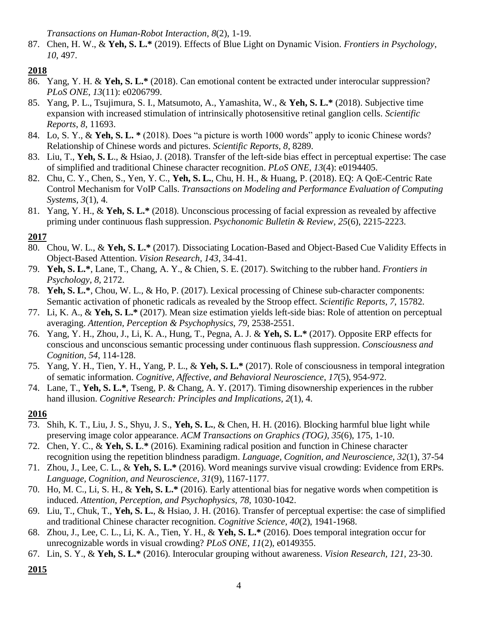*Transactions on Human-Robot Interaction*, *8*(2), 1-19.

87. Chen, H. W., & **Yeh, S. L.\*** (2019). Effects of Blue Light on Dynamic Vision. *Frontiers in Psychology*, *10*, 497.

## **2018**

- 86. Yang, Y. H. & **Yeh, S. L.\*** (2018). Can emotional content be extracted under interocular suppression? *PLoS ONE*, *13*(11): e0206799.
- 85. Yang, P. L., Tsujimura, S. I., Matsumoto, A., Yamashita, W., & **Yeh, S. L.\*** (2018). Subjective time expansion with increased stimulation of intrinsically photosensitive retinal ganglion cells. *Scientific Reports*, *8*, 11693.
- 84. Lo, S. Y., & **Yeh, S. L. \*** (2018). Does "a picture is worth 1000 words" apply to iconic Chinese words? Relationship of Chinese words and pictures. *Scientific Reports, 8*, 8289.
- 83. Liu, T., **Yeh, S. L**., & Hsiao, J. (2018). Transfer of the left-side bias effect in perceptual expertise: The case of simplified and traditional Chinese character recognition. *PLoS ONE*, *13*(4): e0194405.
- 82. Chu, C. Y., Chen, S., Yen, Y. C., **Yeh, S. L.**, Chu, H. H., & Huang, P. (2018). EQ: A QoE-Centric Rate Control Mechanism for VoIP Calls. *Transactions on Modeling and Performance Evaluation of Computing Systems, 3*(1), 4.
- 81. Yang, Y. H., & **Yeh, S. L.\*** (2018). Unconscious processing of facial expression as revealed by affective priming under continuous flash suppression. *Psychonomic Bulletin & Review, 25*(6), 2215-2223.

# **2017**

- 80. Chou, W. L., & **Yeh, S. L.\*** (2017). Dissociating Location-Based and Object-Based Cue Validity Effects in Object-Based Attention. *Vision Research, 143*, 34-41.
- 79. **Yeh, S. L.\***, Lane, T., Chang, A. Y., & Chien, S. E. (2017). Switching to the rubber hand. *Frontiers in Psychology, 8*, 2172.
- 78. **Yeh, S. L.\***, Chou, W. L., & Ho, P. (2017). Lexical processing of Chinese sub-character components: Semantic activation of phonetic radicals as revealed by the Stroop effect. *Scientific Reports, 7*, 15782.
- 77. Li, K. A., & **Yeh, S. L.\*** (2017). Mean size estimation yields left-side bias: Role of attention on perceptual averaging. *Attention, Perception & Psychophysics*, *79*, 2538-2551.
- 76. Yang, Y. H., Zhou, J., Li, K. A., Hung, T., Pegna, A. J. & **Yeh, S. L.\*** (2017). Opposite ERP effects for conscious and unconscious semantic processing under continuous flash suppression. *Consciousness and Cognition*, *54*, 114-128.
- 75. Yang, Y. H., Tien, Y. H., Yang, P. L., & **Yeh, S. L.\*** (2017). Role of consciousness in temporal integration of sematic information. *Cognitive, Affective, and Behavioral Neuroscience*, *17*(5), 954-972.
- 74. Lane, T., **Yeh, S. L.\***, Tseng, P. & Chang, A. Y. (2017). Timing disownership experiences in the rubber hand illusion. *Cognitive Research: Principles and Implications, 2*(1), 4.

### **2016**

- 73. Shih, K. T., Liu, J. S., Shyu, J. S., **Yeh, S. L.**, & Chen, H. H. (2016). Blocking harmful blue light while preserving image color appearance. *ACM Transactions on Graphics (TOG), 35*(6), 175, 1-10.
- 72. Chen, Y. C., & **Yeh, S. L**.**\*** (2016). Examining radical position and function in Chinese character recognition using the repetition blindness paradigm. *Language, Cognition, and Neuroscience, 32*(1), 37-54
- 71. Zhou, J., Lee, C. L., & **Yeh, S. L.\*** (2016). Word meanings survive visual crowding: Evidence from ERPs. *Language, Cognition, and Neuroscience*, *31*(9), 1167-1177.
- 70. Ho, M. C., Li, S. H., & **Yeh, S. L.\*** (2016). Early attentional bias for negative words when competition is induced. *Attention, Perception, and Psychophysics, 78*, 1030-1042.
- 69. Liu, T., Chuk, T., **Yeh, S. L.**, & Hsiao, J. H. (2016). Transfer of perceptual expertise: the case of simplified and traditional Chinese character recognition. *Cognitive Science, 40*(2), 1941-1968.
- 68. Zhou, J., Lee, C. L., Li, K. A., Tien, Y. H., & **Yeh, S. L.\*** (2016). Does temporal integration occur for unrecognizable words in visual crowding? *PLoS ONE, 11*(2), e0149355.
- 67. Lin, S. Y., & **Yeh, S. L.\*** (2016). Interocular grouping without awareness. *Vision Research, 121*, 23-30.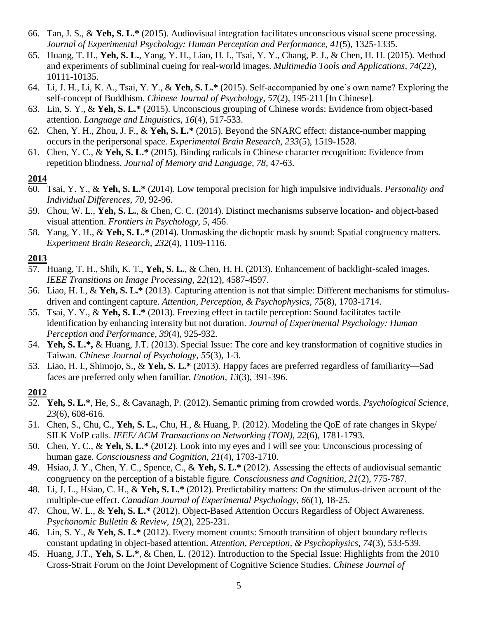- 66. Tan, J. S., & **Yeh, S. L.\*** (2015). Audiovisual integration facilitates unconscious visual scene processing. *Journal of Experimental Psychology: Human Perception and Performance, 41*(5), 1325-1335.
- 65. Huang, T. H., **Yeh, S. L.**, Yang, Y. H., Liao, H. I., Tsai, Y. Y., Chang, P. J., & Chen, H. H. (2015). Method and experiments of subliminal cueing for real-world images. *Multimedia Tools and Applications, 74*(22), 10111-10135.
- 64. Li, J. H., Li, K. A., Tsai, Y. Y., & **Yeh, S. L.\*** (2015). Self-accompanied by one's own name? Exploring the self-concept of Buddhism. *Chinese Journal of Psychology, 57*(2), 195-211 [In Chinese].
- 63. Lin, S. Y., & **Yeh, S. L.\*** (2015). Unconscious grouping of Chinese words: Evidence from object-based attention. *Language and Linguistics, 16*(4), 517-533.
- 62. Chen, Y. H., Zhou, J. F., & **Yeh, S. L.\*** (2015). Beyond the SNARC effect: distance-number mapping occurs in the peripersonal space. *Experimental Brain Research, 233*(5), 1519-1528.
- 61. Chen, Y. C., & **Yeh, S. L.\*** (2015). Binding radicals in Chinese character recognition: Evidence from repetition blindness. *Journal of Memory and Language, 78*, 47-63.

### **2014**

- 60. Tsai, Y. Y., & **Yeh, S. L.\*** (2014). Low temporal precision for high impulsive individuals. *Personality and Individual Differences, 70*, 92-96.
- 59. Chou, W. L., **Yeh, S. L.**, & Chen, C. C. (2014). Distinct mechanisms subserve location- and object-based visual attention. *Frontiers in Psychology, 5*, 456.
- 58. Yang, Y. H., & **Yeh, S. L.\*** (2014). Unmasking the dichoptic mask by sound: Spatial congruency matters. *Experiment Brain Research, 232*(4), 1109-1116.

## **2013**

- 57. Huang, T. H., Shih, K. T., **Yeh, S. L.**, & Chen, H. H. (2013). Enhancement of backlight-scaled images. *IEEE Transitions on Image Processing, 22*(12), 4587-4597.
- 56. Liao, H. I., & **Yeh, S. L.\*** (2013). Capturing attention is not that simple: Different mechanisms for stimulusdriven and contingent capture. *Attention, Perception, & Psychophysics, 75*(8), 1703-1714.
- 55. Tsai, Y. Y., & **Yeh, S. L.\*** (2013). Freezing effect in tactile perception: Sound facilitates tactile identification by enhancing intensity but not duration. *Journal of Experimental Psychology: Human Perception and Performance, 39*(4), 925-932.
- 54. **Yeh, S. L.\*,** & Huang, J.T. (2013). Special Issue: The core and key transformation of cognitive studies in Taiwan*. Chinese Journal of Psychology, 55*(3), 1-3.
- 53. Liao, H. I., Shimojo, S., & **Yeh, S. L.\*** (2013). Happy faces are preferred regardless of familiarity—Sad faces are preferred only when familiar. *Emotion, 13*(3), 391-396.

- 52. **Yeh, S. L.\***, He, S., & Cavanagh, P. (2012). Semantic priming from crowded words. *Psychological Science, 23*(6), 608-616.
- 51. Chen, S., Chu, C., **Yeh, S. L.**, Chu, H., & Huang, P. (2012). Modeling the QoE of rate changes in Skype/ SILK VoIP calls. *IEEE/ ACM Transactions on Networking (TON), 22*(6), 1781-1793.
- 50. Chen, Y. C., & **Yeh, S. L.\*** (2012). Look into my eyes and I will see you: Unconscious processing of human gaze. *Consciousness and Cognition, 21*(4), 1703-1710.
- 49. Hsiao, J. Y., Chen, Y. C., Spence, C., & **Yeh, S. L.\*** (2012). Assessing the effects of audiovisual semantic congruency on the perception of a bistable figure. *Consciousness and Cognition, 21*(2), 775-787.
- 48. Li, J. L., Hsiao, C. H., & **Yeh, S. L.\*** (2012). Predictability matters: On the stimulus-driven account of the multiple-cue effect. *Canadian Journal of Experimental Psychology, 66*(1), 18-25.
- 47. Chou, W. L., & **Yeh, S. L.\*** (2012). Object-Based Attention Occurs Regardless of Object Awareness. *Psychonomic Bulletin & Review, 19*(2), 225-231.
- 46. Lin, S. Y., & **Yeh, S. L.\*** (2012). Every moment counts: Smooth transition of object boundary reflects constant updating in object-based attention. *Attention, Perception, & Psychophysics, 74*(3), 533-539.
- 45. Huang, J.T., **Yeh, S. L.\***, & Chen, L. (2012). Introduction to the Special Issue: Highlights from the 2010 Cross-Strait Forum on the Joint Development of Cognitive Science Studies. *Chinese Journal of*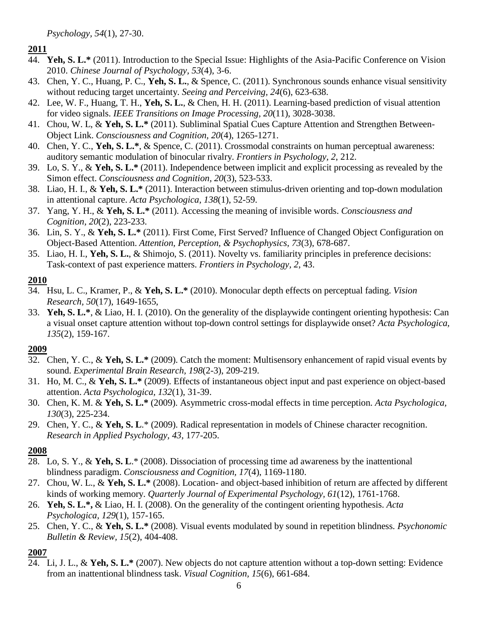*Psychology, 54*(1), 27-30.

### **2011**

- 44. **Yeh, S. L.\*** (2011). Introduction to the Special Issue: Highlights of the Asia-Pacific Conference on Vision 2010. *Chinese Journal of Psychology, 53*(4), 3-6.
- 43. Chen, Y. C., Huang, P. C., **Yeh, S. L.**, & Spence, C. (2011). Synchronous sounds enhance visual sensitivity without reducing target uncertainty. *Seeing and Perceiving, 24*(6), 623-638.
- 42. Lee, W. F., Huang, T. H., **Yeh, S. L.**, & Chen, H. H. (2011). Learning-based prediction of visual attention for video signals. *IEEE Transitions on Image Processing, 20*(11), 3028-3038.
- 41. Chou, W. L, & **Yeh, S. L.\*** (2011). Subliminal Spatial Cues Capture Attention and Strengthen Between-Object Link. *Consciousness and Cognition, 20*(4), 1265-1271.
- 40. Chen, Y. C., **Yeh, S. L.\***, & Spence, C. (2011). Crossmodal constraints on human perceptual awareness: auditory semantic modulation of binocular rivalry. *Frontiers in Psychology, 2*, 212.
- 39. Lo, S. Y., & **Yeh, S. L.\*** (2011). Independence between implicit and explicit processing as revealed by the Simon effect. *Consciousness and Cognition, 20*(3), 523-533.
- 38. Liao, H. I., & **Yeh, S. L.\*** (2011). Interaction between stimulus-driven orienting and top-down modulation in attentional capture. *Acta Psychologica, 138*(1), 52-59.
- 37. Yang, Y. H., & **Yeh, S. L.\*** (2011). Accessing the meaning of invisible words. *Consciousness and Cognition, 20*(2), 223-233.
- 36. Lin, S. Y., & **Yeh, S. L.\*** (2011). First Come, First Served? Influence of Changed Object Configuration on Object-Based Attention. *Attention, Perception, & Psychophysics, 73*(3), 678-687.
- 35. Liao, H. I., **Yeh, S. L.**, & Shimojo, S. (2011). Novelty vs. familiarity principles in preference decisions: Task-context of past experience matters. *Frontiers in Psychology, 2*, 43.

### **2010**

- 34. Hsu, L. C., Kramer, P., & **Yeh, S. L.\*** (2010). Monocular depth effects on perceptual fading. *Vision Research, 50*(17), 1649-1655,
- 33. **Yeh, S. L.\***, & Liao, H. I. (2010). On the generality of the displaywide contingent orienting hypothesis: Can a visual onset capture attention without top-down control settings for displaywide onset? *Acta Psychologica, 135*(2), 159-167.

### **2009**

- 32. Chen, Y. C., & **Yeh, S. L.\*** (2009). Catch the moment: Multisensory enhancement of rapid visual events by sound. *Experimental Brain Research, 198*(2-3), 209-219.
- 31. Ho, M. C., & **Yeh, S. L.\*** (2009). Effects of instantaneous object input and past experience on object-based attention. *Acta Psychologica, 132*(1), 31-39.
- 30. Chen, K. M. & **Yeh, S. L.\*** (2009). Asymmetric cross-modal effects in time perception. *Acta Psychologica, 130*(3), 225-234.
- 29. Chen, Y. C., & **Yeh, S. L**.\* (2009). Radical representation in models of Chinese character recognition. *Research in Applied Psychology, 43*, 177-205.

### **2008**

- 28. Lo, S. Y., & **Yeh, S. L**.\* (2008). Dissociation of processing time ad awareness by the inattentional blindness paradigm. *Consciousness and Cognition, 17*(4), 1169-1180.
- 27. Chou, W. L., & **Yeh, S. L.\*** (2008). Location- and object-based inhibition of return are affected by different kinds of working memory. *Quarterly Journal of Experimental Psychology, 61*(12), 1761-1768.
- 26. **Yeh, S. L.\*,** & Liao, H. I. (2008). On the generality of the contingent orienting hypothesis. *Acta Psychologica, 129*(1), 157-165.
- 25. Chen, Y. C., & **Yeh, S. L.\*** (2008). Visual events modulated by sound in repetition blindness. *Psychonomic Bulletin & Review, 15*(2), 404-408.

# **2007**

24. Li, J. L., & **Yeh, S. L.\*** (2007). New objects do not capture attention without a top-down setting: Evidence from an inattentional blindness task. *Visual Cognition, 15*(6), 661-684.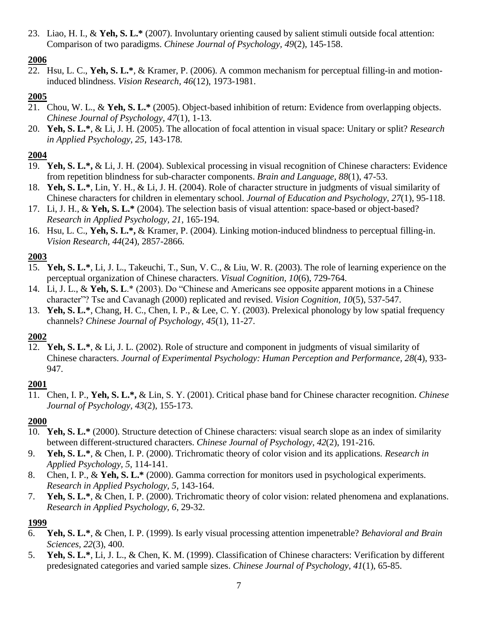23. Liao, H. I., & **Yeh, S. L.\*** (2007). Involuntary orienting caused by salient stimuli outside focal attention: Comparison of two paradigms. *Chinese Journal of Psychology, 49*(2), 145-158.

# **2006**

22. Hsu, L. C., **Yeh, S. L.\***, & Kramer, P. (2006). A common mechanism for perceptual filling-in and motioninduced blindness. *Vision Research, 46*(12), 1973-1981.

# **2005**

- 21. Chou, W. L., & **Yeh, S. L.\*** (2005). Object-based inhibition of return: Evidence from overlapping objects. *Chinese Journal of Psychology, 47*(1), 1-13.
- 20. **Yeh, S. L.\***, & Li, J. H. (2005). The allocation of focal attention in visual space: Unitary or split? *Research in Applied Psychology, 25*, 143-178.

# **2004**

- 19. **Yeh, S. L.\*,** & Li, J. H. (2004). Sublexical processing in visual recognition of Chinese characters: Evidence from repetition blindness for sub-character components. *Brain and Language, 88*(1), 47-53.
- 18. **Yeh, S. L.\***, Lin, Y. H., & Li, J. H. (2004). Role of character structure in judgments of visual similarity of Chinese characters for children in elementary school. *Journal of Education and Psychology, 27*(1), 95-118.
- 17. Li, J. H., & **Yeh, S. L.\*** (2004). The selection basis of visual attention: space-based or object-based? *Research in Applied Psychology, 21*, 165-194.
- 16. Hsu, L. C., **Yeh, S. L.\*,** & Kramer, P. (2004). Linking motion-induced blindness to perceptual filling-in. *Vision Research, 44*(24), 2857-2866.

# **2003**

- 15. **Yeh, S. L.\***, Li, J. L., Takeuchi, T., Sun, V. C., & Liu, W. R. (2003). The role of learning experience on the perceptual organization of Chinese characters. *Visual Cognition, 10*(6), 729-764.
- 14. Li, J. L., & **Yeh, S. L**.\* (2003). Do "Chinese and Americans see opposite apparent motions in a Chinese character"? Tse and Cavanagh (2000) replicated and revised. *Vision Cognition, 10*(5), 537-547.
- 13. **Yeh, S. L.\***, Chang, H. C., Chen, I. P., & Lee, C. Y. (2003). Prelexical phonology by low spatial frequency channels? *Chinese Journal of Psychology, 45*(1), 11-27.

# **2002**

12. **Yeh, S. L.\***, & Li, J. L. (2002). Role of structure and component in judgments of visual similarity of Chinese characters. *Journal of Experimental Psychology: Human Perception and Performance, 28*(4), 933- 947.

# **2001**

11. Chen, I. P., **Yeh, S. L.\*,** & Lin, S. Y. (2001). Critical phase band for Chinese character recognition. *Chinese Journal of Psychology, 43*(2), 155-173.

# **2000**

- 10. **Yeh, S. L.\*** (2000). Structure detection of Chinese characters: visual search slope as an index of similarity between different-structured characters. *Chinese Journal of Psychology, 42*(2), 191-216.
- 9. **Yeh, S. L.\***, & Chen, I. P. (2000). Trichromatic theory of color vision and its applications. *Research in Applied Psychology, 5*, 114-141.
- 8. Chen, I. P., & **Yeh, S. L.\*** (2000). Gamma correction for monitors used in psychological experiments. *Research in Applied Psychology, 5*, 143-164.
- 7. **Yeh, S. L.\***, & Chen, I. P. (2000). Trichromatic theory of color vision: related phenomena and explanations. *Research in Applied Psychology, 6*, 29-32.

- 6. **Yeh, S. L.\***, & Chen, I. P. (1999). Is early visual processing attention impenetrable? *Behavioral and Brain Sciences, 22*(3), 400.
- 5. **Yeh, S. L.\***, Li, J. L., & Chen, K. M. (1999). Classification of Chinese characters: Verification by different predesignated categories and varied sample sizes. *Chinese Journal of Psychology, 41*(1), 65-85.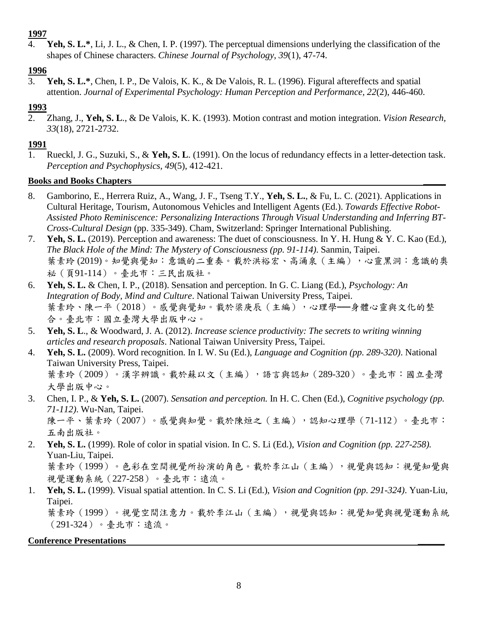## **1997**

4. **Yeh, S. L.\***, Li, J. L., & Chen, I. P. (1997). The perceptual dimensions underlying the classification of the shapes of Chinese characters. *Chinese Journal of Psychology, 39*(1), 47-74.

# **1996**

3. **Yeh, S. L.\***, Chen, I. P., De Valois, K. K., & De Valois, R. L. (1996). Figural aftereffects and spatial attention. *Journal of Experimental Psychology: Human Perception and Performance, 22*(2), 446-460.

# **1993**

2. Zhang, J., **Yeh, S. L**., & De Valois, K. K. (1993). Motion contrast and motion integration. *Vision Research, 33*(18), 2721-2732.

## **1991**

1. Rueckl, J. G., Suzuki, S., & **Yeh, S. L**. (1991). On the locus of redundancy effects in a letter-detection task. *Perception and Psychophysics, 49*(5), 412-421.

### **Books and Books Chapters \_\_\_\_\_**

- 8. Gamborino, E., Herrera Ruiz, A., Wang, J. F., Tseng T.Y., **Yeh, S. L.**, & Fu, L. C. (2021). Applications in Cultural Heritage, Tourism, Autonomous Vehicles and Intelligent Agents (Ed.). *Towards Effective Robot-Assisted Photo Reminiscence: Personalizing Interactions Through Visual Understanding and Inferring BT-Cross-Cultural Design* (pp. 335-349). Cham, Switzerland: Springer International Publishing.
- 7. **Yeh, S. L.** (2019). Perception and awareness: The duet of consciousness. In Y. H. Hung & Y. C. Kao (Ed.), *The Black Hole of the Mind: The Mystery of Consciousness (pp. 91-114)*. Sanmin, Taipei. 葉素玲 (2019)。知覺與覺知:意識的二重奏。載於洪裕宏、高涌泉 (主編),心靈黑洞:意識的奧 祕(頁91-114)。臺北市:三民出版社。
- 6. **Yeh, S. L.** & Chen, I. P., (2018). Sensation and perception. In G. C. Liang (Ed.), *Psychology: An Integration of Body, Mind and Culture*. National Taiwan University Press, Taipei. 葉素玲、陳一平(2018)。感覺與覺知。載於梁庚辰(主編),心理學 --身體心靈與文化的整 合。臺北市:國立臺灣大學出版中心。
- 5. **Yeh, S. L**., & Woodward, J. A. (2012). *Increase science productivity: The secrets to writing winning articles and research proposals*. National Taiwan University Press, Taipei.
- 4. **Yeh, S. L.** (2009). Word recognition. In I. W. Su (Ed.), *Language and Cognition (pp. 289-320)*. National Taiwan University Press, Taipei. 葉素玲(2009)。漢字辨識。載於蘇以文(主編),語言與認知(289-320)。臺北市:國立臺灣 大學出版中心。
- 3. Chen, I. P., & **Yeh, S. L.** (2007). *Sensation and perception.* In H. C. Chen (Ed.), *Cognitive psychology (pp. 71-112)*. Wu-Nan, Taipei. 陳一平、葉素玲(2007)。感覺與知覺。載於陳烜之(主編),認知心理學(71-112)。臺北市: 五南出版社。
- 2. **Yeh, S. L.** (1999). Role of color in spatial vision. In C. S. Li (Ed.), *Vision and Cognition (pp. 227-258).* Yuan-Liu, Taipei. 葉素玲(1999)。色彩在空間視覺所扮演的角色。載於李江山(主編),視覺與認知:視覺知覺與 視覺運動系統(227-258)。臺北市:遠流。
- 1. **Yeh, S. L.** (1999). Visual spatial attention. In C. S. Li (Ed.), *Vision and Cognition (pp. 291-324)*. Yuan-Liu, Taipei. 葉素玲(1999)。視覺空間注意力。載於李江山(主編),視覺與認知:視覺知覺與視覺運動系統 (291-324)。臺北市:遠流。

# **Conference Presentations \_\_\_\_\_\_**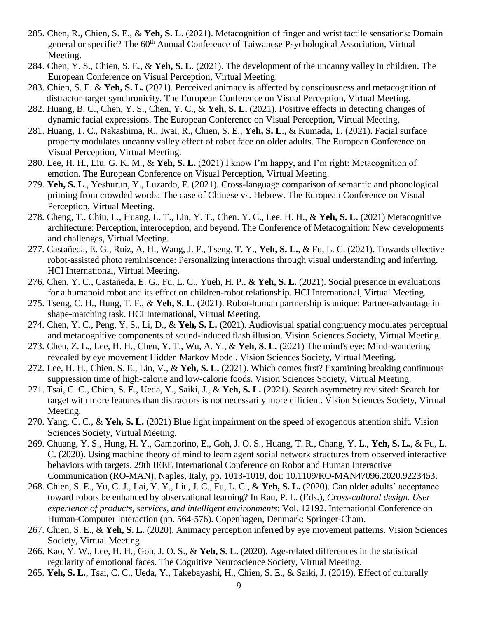- 285. Chen, R., Chien, S. E., & **Yeh, S. L**. (2021). Metacognition of finger and wrist tactile sensations: Domain general or specific? The 60<sup>th</sup> Annual Conference of Taiwanese Psychological Association, Virtual Meeting.
- 284. Chen, Y. S., Chien, S. E., & **Yeh, S. L**. (2021). The development of the uncanny valley in children. The European Conference on Visual Perception, Virtual Meeting.
- 283. Chien, S. E. & **Yeh, S. L.** (2021). Perceived animacy is affected by consciousness and metacognition of distractor-target synchronicity. The European Conference on Visual Perception, Virtual Meeting.
- 282. Huang, B. C., Chen, Y. S., Chen, Y. C., & **Yeh, S. L.** (2021). Positive effects in detecting changes of dynamic facial expressions. The European Conference on Visual Perception, Virtual Meeting.
- 281. Huang, T. C., Nakashima, R., Iwai, R., Chien, S. E., **Yeh, S. L**., & Kumada, T. (2021). Facial surface property modulates uncanny valley effect of robot face on older adults. The European Conference on Visual Perception, Virtual Meeting.
- 280. Lee, H. H., Liu, G. K. M., & **Yeh, S. L.** (2021) I know I'm happy, and I'm right: Metacognition of emotion. The European Conference on Visual Perception, Virtual Meeting.
- 279. **Yeh, S. L**., Yeshurun, Y., Luzardo, F. (2021). Cross-language comparison of semantic and phonological priming from crowded words: The case of Chinese vs. Hebrew. The European Conference on Visual Perception, Virtual Meeting.
- 278. Cheng, T., Chiu, L., Huang, L. T., Lin, Y. T., Chen. Y. C., Lee. H. H., & **Yeh, S. L.** (2021) Metacognitive architecture: Perception, interoception, and beyond. The Conference of Metacognition: New developments and challenges, Virtual Meeting.
- 277. Castañeda, E. G., Ruiz, A. H., Wang, J. F., Tseng, T. Y., **Yeh, S. L.**, & Fu, L. C. (2021). Towards effective robot-assisted photo reminiscence: Personalizing interactions through visual understanding and inferring. HCI International, Virtual Meeting.
- 276. Chen, Y. C., Castañeda, E. G., Fu, L. C., Yueh, H. P., & **Yeh, S. L.** (2021). Social presence in evaluations for a humanoid robot and its effect on children-robot relationship. HCI International, Virtual Meeting.
- 275. Tseng, C. H., Hung, T. F., & **Yeh, S. L.** (2021). Robot-human partnership is unique: Partner-advantage in shape-matching task. HCI International, Virtual Meeting.
- 274. Chen, Y. C., Peng, Y. S., Li, D., & **Yeh, S. L.** (2021). Audiovisual spatial congruency modulates perceptual and metacognitive components of sound-induced flash illusion. Vision Sciences Society, Virtual Meeting.
- 273. Chen, Z. L., Lee, H. H., Chen, Y. T., Wu, A. Y., & **Yeh, S. L.** (2021) The mind's eye: Mind-wandering revealed by eye movement Hidden Markov Model. Vision Sciences Society, Virtual Meeting.
- 272. Lee, H. H., Chien, S. E., Lin, V., & **Yeh, S. L.** (2021). Which comes first? Examining breaking continuous suppression time of high-calorie and low-calorie foods. Vision Sciences Society, Virtual Meeting.
- 271. Tsai, C. C., Chien, S. E., Ueda, Y., Saiki, J., & **Yeh, S. L.** (2021). Search asymmetry revisited: Search for target with more features than distractors is not necessarily more efficient. Vision Sciences Society, Virtual Meeting.
- 270. Yang, C. C., & **Yeh, S. L.** (2021) Blue light impairment on the speed of exogenous attention shift. Vision Sciences Society, Virtual Meeting.
- 269. Chuang, Y. S., Hung, H. Y., Gamborino, E., Goh, J. O. S., Huang, T. R., Chang, Y. L., **Yeh, S. L.**, & Fu, L. C. (2020). Using machine theory of mind to learn agent social network structures from observed interactive behaviors with targets. 29th IEEE International Conference on Robot and Human Interactive Communication (RO-MAN), Naples, Italy, pp. 1013-1019, doi: 10.1109/RO-MAN47096.2020.9223453.
- 268. Chien, S. E., Yu, C. J., Lai, Y. Y., Liu, J. C., Fu, L. C., & **Yeh, S. L.** (2020). Can older adults' acceptance toward robots be enhanced by observational learning? In Rau, P. L. (Eds.), *Cross-cultural design. User experience of products, services, and intelligent environments*: Vol. 12192. International Conference on Human-Computer Interaction (pp. 564-576). Copenhagen, Denmark: Springer-Cham.
- 267. Chien, S. E., & **Yeh, S. L.** (2020). Animacy perception inferred by eye movement patterns. Vision Sciences Society, Virtual Meeting.
- 266. Kao, Y. W., Lee, H. H., Goh, J. O. S., & **Yeh, S. L.** (2020). Age-related differences in the statistical regularity of emotional faces. The Cognitive Neuroscience Society, Virtual Meeting.
- 265. **Yeh, S. L.**, Tsai, C. C., Ueda, Y., Takebayashi, H., Chien, S. E., & Saiki, J. (2019). Effect of culturally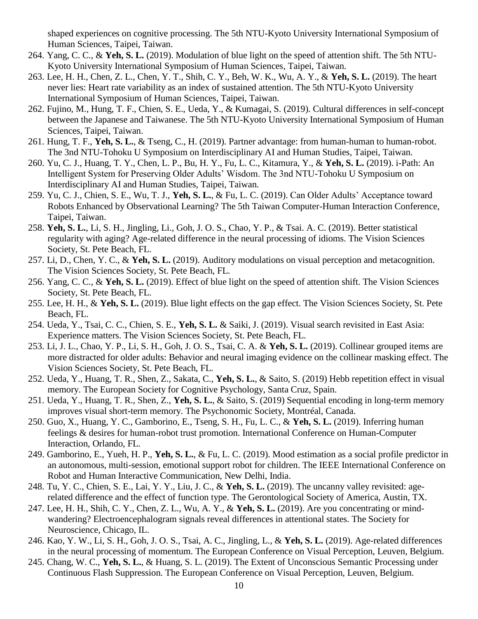shaped experiences on cognitive processing. The 5th NTU-Kyoto University International Symposium of Human Sciences, Taipei, Taiwan.

- 264. Yang, C. C., & **Yeh, S. L.** (2019). Modulation of blue light on the speed of attention shift. The 5th NTU-Kyoto University International Symposium of Human Sciences, Taipei, Taiwan.
- 263. Lee, H. H., Chen, Z. L., Chen, Y. T., Shih, C. Y., Beh, W. K., Wu, A. Y., & **Yeh, S. L.** (2019). The heart never lies: Heart rate variability as an index of sustained attention. The 5th NTU-Kyoto University International Symposium of Human Sciences, Taipei, Taiwan.
- 262. Fujino, M., Hung, T. F., Chien, S. E., Ueda, Y., & Kumagai, S. (2019). Cultural differences in self-concept between the Japanese and Taiwanese. The 5th NTU-Kyoto University International Symposium of Human Sciences, Taipei, Taiwan.
- 261. Hung, T. F., **Yeh, S. L.**, & Tseng, C., H. (2019). Partner advantage: from human-human to human-robot. The 3nd NTU-Tohoku U Symposium on Interdisciplinary AI and Human Studies, Taipei, Taiwan.
- 260. Yu, C. J., Huang, T. Y., Chen, L. P., Bu, H. Y., Fu, L. C., Kitamura, Y., & **Yeh, S. L.** (2019). i-Path: An Intelligent System for Preserving Older Adults' Wisdom. The 3nd NTU-Tohoku U Symposium on Interdisciplinary AI and Human Studies, Taipei, Taiwan.
- 259. Yu, C. J., Chien, S. E., Wu, T. J., **Yeh, S. L.**, & Fu, L. C. (2019). Can Older Adults' Acceptance toward Robots Enhanced by Observational Learning? The 5th Taiwan Computer-Human Interaction Conference, Taipei, Taiwan.
- 258. **Yeh, S. L.**, Li, S. H., Jingling, Li., Goh, J. O. S., Chao, Y. P., & Tsai. A. C. (2019). Better statistical regularity with aging? Age-related difference in the neural processing of idioms. The Vision Sciences Society, St. Pete Beach, FL.
- 257. Li, D., Chen, Y. C., & **Yeh, S. L.** (2019). Auditory modulations on visual perception and metacognition. The Vision Sciences Society, St. Pete Beach, FL.
- 256. Yang, C. C., & **Yeh, S. L.** (2019). Effect of blue light on the speed of attention shift. The Vision Sciences Society, St. Pete Beach, FL.
- 255. Lee, H. H., & **Yeh, S. L.** (2019). Blue light effects on the gap effect. The Vision Sciences Society, St. Pete Beach, FL.
- 254. Ueda, Y., Tsai, C. C., Chien, S. E., **Yeh, S. L.** & Saiki, J. (2019). Visual search revisited in East Asia: Experience matters. The Vision Sciences Society, St. Pete Beach, FL.
- 253. Li, J. L., Chao, Y. P., Li, S. H., Goh, J. O. S., Tsai, C. A. & **Yeh, S. L.** (2019). Collinear grouped items are more distracted for older adults: Behavior and neural imaging evidence on the collinear masking effect. The Vision Sciences Society, St. Pete Beach, FL.
- 252. Ueda, Y., Huang, T. R., Shen, Z., Sakata, C., **Yeh, S. L.**, & Saito, S. (2019) Hebb repetition effect in visual memory. The European Society for Cognitive Psychology, Santa Cruz, Spain.
- 251. Ueda, Y., Huang, T. R., Shen, Z., **Yeh, S. L.**, & Saito, S. (2019) Sequential encoding in long-term memory improves visual short-term memory. The Psychonomic Society, Montréal, Canada.
- 250. Guo, X., Huang, Y. C., Gamborino, E., Tseng, S. H., Fu, L. C., & **Yeh, S. L.** (2019). Inferring human feelings & desires for human-robot trust promotion. International Conference on Human-Computer Interaction, Orlando, FL.
- 249. Gamborino, E., Yueh, H. P., **Yeh, S. L.**, & Fu, L. C. (2019). Mood estimation as a social profile predictor in an autonomous, multi-session, emotional support robot for children. The IEEE International Conference on Robot and Human Interactive Communication, New Delhi, India.
- 248. Tu, Y. C., Chien, S. E., Lai, Y. Y., Liu, J. C., & **Yeh, S. L.** (2019). The uncanny valley revisited: agerelated difference and the effect of function type. The Gerontological Society of America, Austin, TX.
- 247. Lee, H. H., Shih, C. Y., Chen, Z. L., Wu, A. Y., & **Yeh, S. L.** (2019). Are you concentrating or mindwandering? Electroencephalogram signals reveal differences in attentional states. The Society for Neuroscience, Chicago, IL.
- 246. Kao, Y. W., Li, S. H., Goh, J. O. S., Tsai, A. C., Jingling, L., & **Yeh, S. L.** (2019). Age-related differences in the neural processing of momentum. The European Conference on Visual Perception, Leuven, Belgium.
- 245. Chang, W. C., **Yeh, S. L.**, & Huang, S. L. (2019). The Extent of Unconscious Semantic Processing under Continuous Flash Suppression. The European Conference on Visual Perception, Leuven, Belgium.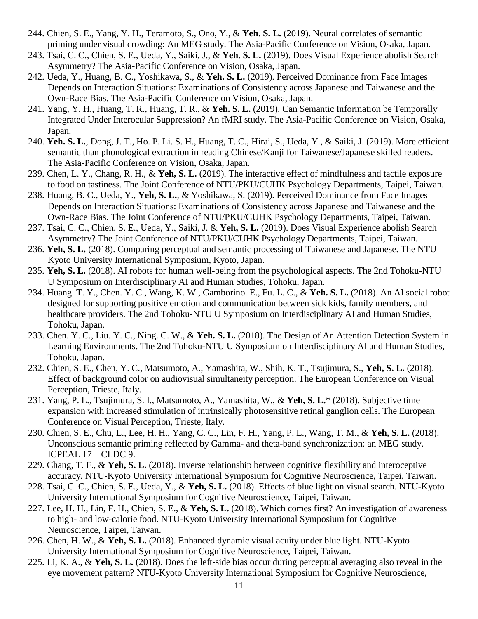- 244. Chien, S. E., Yang, Y. H., Teramoto, S., Ono, Y., & **Yeh. S. L.** (2019). Neural correlates of semantic priming under visual crowding: An MEG study. The Asia-Pacific Conference on Vision, Osaka, Japan.
- 243. Tsai, C. C., Chien, S. E., Ueda, Y., Saiki, J., & **Yeh. S. L.** (2019). Does Visual Experience abolish Search Asymmetry? The Asia-Pacific Conference on Vision, Osaka, Japan.
- 242. Ueda, Y., Huang, B. C., Yoshikawa, S., & **Yeh. S. L.** (2019). Perceived Dominance from Face Images Depends on Interaction Situations: Examinations of Consistency across Japanese and Taiwanese and the Own-Race Bias. The Asia-Pacific Conference on Vision, Osaka, Japan.
- 241. Yang, Y. H., Huang, T. R., Huang, T. R., & **Yeh. S. L.** (2019). Can Semantic Information be Temporally Integrated Under Interocular Suppression? An fMRI study. The Asia-Pacific Conference on Vision, Osaka, Japan.
- 240. **Yeh. S. L.**, Dong, J. T., Ho. P. Li. S. H., Huang, T. C., Hirai, S., Ueda, Y., & Saiki, J. (2019). More efficient semantic than phonological extraction in reading Chinese/Kanji for Taiwanese/Japanese skilled readers. The Asia-Pacific Conference on Vision, Osaka, Japan.
- 239. Chen, L. Y., Chang, R. H., & **Yeh, S. L.** (2019). The interactive effect of mindfulness and tactile exposure to food on tastiness. The Joint Conference of NTU/PKU/CUHK Psychology Departments, Taipei, Taiwan.
- 238. Huang, B. C., Ueda, Y., **Yeh, S. L.**, & Yoshikawa, S. (2019). Perceived Dominance from Face Images Depends on Interaction Situations: Examinations of Consistency across Japanese and Taiwanese and the Own-Race Bias. The Joint Conference of NTU/PKU/CUHK Psychology Departments, Taipei, Taiwan.
- 237. Tsai, C. C., Chien, S. E., Ueda, Y., Saiki, J. & **Yeh, S. L.** (2019). Does Visual Experience abolish Search Asymmetry? The Joint Conference of NTU/PKU/CUHK Psychology Departments, Taipei, Taiwan.
- 236. **Yeh, S. L.** (2018). Comparing perceptual and semantic processing of Taiwanese and Japanese. The NTU Kyoto University International Symposium, Kyoto, Japan.
- 235. **Yeh, S. L.** (2018). AI robots for human well-being from the psychological aspects. The 2nd Tohoku-NTU U Symposium on Interdisciplinary AI and Human Studies, Tohoku, Japan.
- 234. Huang. T. Y., Chen. Y. C., Wang, K. W., Gamborino. E., Fu. L. C., & **Yeh. S. L.** (2018). An AI social robot designed for supporting positive emotion and communication between sick kids, family members, and healthcare providers. The 2nd Tohoku-NTU U Symposium on Interdisciplinary AI and Human Studies, Tohoku, Japan.
- 233. Chen. Y. C., Liu. Y. C., Ning. C. W., & **Yeh. S. L.** (2018). The Design of An Attention Detection System in Learning Environments. The 2nd Tohoku-NTU U Symposium on Interdisciplinary AI and Human Studies, Tohoku, Japan.
- 232. Chien, S. E., Chen, Y. C., Matsumoto, A., Yamashita, W., Shih, K. T., Tsujimura, S., **Yeh, S. L.** (2018). Effect of background color on audiovisual simultaneity perception. The European Conference on Visual Perception, Trieste, Italy.
- 231. Yang, P. L., Tsujimura, S. I., Matsumoto, A., Yamashita, W., & **Yeh, S. L.**\* (2018). Subjective time expansion with increased stimulation of intrinsically photosensitive retinal ganglion cells. The European Conference on Visual Perception, Trieste, Italy.
- 230. Chien, S. E., Chu, L., Lee, H. H., Yang, C. C., Lin, F. H., Yang, P. L., Wang, T. M., & **Yeh, S. L.** (2018). Unconscious semantic priming reflected by Gamma- and theta-band synchronization: an MEG study. ICPEAL 17—CLDC 9.
- 229. Chang, T. F., & **Yeh, S. L.** (2018). Inverse relationship between cognitive flexibility and interoceptive accuracy. NTU-Kyoto University International Symposium for Cognitive Neuroscience, Taipei, Taiwan.
- 228. Tsai, C. C., Chien, S. E., Ueda, Y., & **Yeh, S. L.** (2018). Effects of blue light on visual search. NTU-Kyoto University International Symposium for Cognitive Neuroscience, Taipei, Taiwan.
- 227. Lee, H. H., Lin, F. H., Chien, S. E., & **Yeh, S. L.** (2018). Which comes first? An investigation of awareness to high- and low-calorie food. NTU-Kyoto University International Symposium for Cognitive Neuroscience, Taipei, Taiwan.
- 226. Chen, H. W., & **Yeh, S. L.** (2018). Enhanced dynamic visual acuity under blue light. NTU-Kyoto University International Symposium for Cognitive Neuroscience, Taipei, Taiwan.
- 225. Li, K. A., & **Yeh, S. L.** (2018). Does the left-side bias occur during perceptual averaging also reveal in the eye movement pattern? NTU-Kyoto University International Symposium for Cognitive Neuroscience,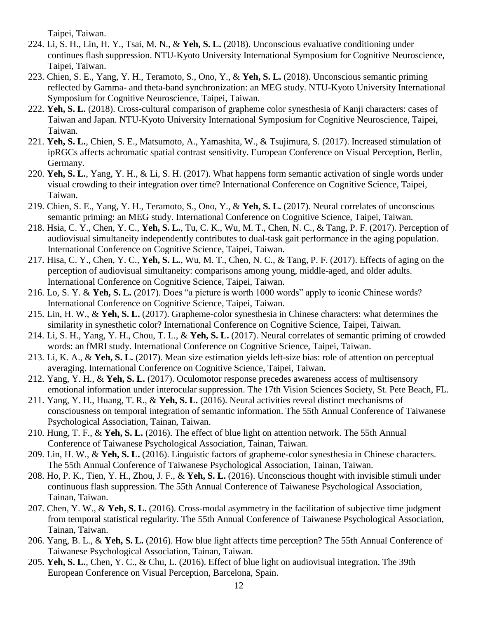Taipei, Taiwan.

- 224. Li, S. H., Lin, H. Y., Tsai, M. N., & **Yeh, S. L.** (2018). Unconscious evaluative conditioning under continues flash suppression. NTU-Kyoto University International Symposium for Cognitive Neuroscience, Taipei, Taiwan.
- 223. Chien, S. E., Yang, Y. H., Teramoto, S., Ono, Y., & **Yeh, S. L.** (2018). Unconscious semantic priming reflected by Gamma- and theta-band synchronization: an MEG study. NTU-Kyoto University International Symposium for Cognitive Neuroscience, Taipei, Taiwan.
- 222. **Yeh, S. L.** (2018). Cross-cultural comparison of grapheme color synesthesia of Kanji characters: cases of Taiwan and Japan. NTU-Kyoto University International Symposium for Cognitive Neuroscience, Taipei, Taiwan.
- 221. **Yeh, S. L.**, Chien, S. E., Matsumoto, A., Yamashita, W., & Tsujimura, S. (2017). Increased stimulation of ipRGCs affects achromatic spatial contrast sensitivity. European Conference on Visual Perception, Berlin, Germany.
- 220. **Yeh, S. L.**, Yang, Y. H., & Li, S. H. (2017). What happens form semantic activation of single words under visual crowding to their integration over time? International Conference on Cognitive Science, Taipei, Taiwan.
- 219. Chien, S. E., Yang, Y. H., Teramoto, S., Ono, Y., & **Yeh, S. L.** (2017). Neural correlates of unconscious semantic priming: an MEG study. International Conference on Cognitive Science, Taipei, Taiwan.
- 218. Hsia, C. Y., Chen, Y. C., **Yeh, S. L.**, Tu, C. K., Wu, M. T., Chen, N. C., & Tang, P. F. (2017). Perception of audiovisual simultaneity independently contributes to dual-task gait performance in the aging population. International Conference on Cognitive Science, Taipei, Taiwan.
- 217. Hisa, C. Y., Chen, Y. C., **Yeh, S. L.**, Wu, M. T., Chen, N. C., & Tang, P. F. (2017). Effects of aging on the perception of audiovisual simultaneity: comparisons among young, middle-aged, and older adults. International Conference on Cognitive Science, Taipei, Taiwan.
- 216. Lo, S. Y. & **Yeh, S. L.** (2017). Does "a picture is worth 1000 words" apply to iconic Chinese words? International Conference on Cognitive Science, Taipei, Taiwan.
- 215. Lin, H. W., & **Yeh, S. L.** (2017). Grapheme-color synesthesia in Chinese characters: what determines the similarity in synesthetic color? International Conference on Cognitive Science, Taipei, Taiwan.
- 214. Li, S. H., Yang, Y. H., Chou, T. L., & **Yeh, S. L.** (2017). Neural correlates of semantic priming of crowded words: an fMRI study. International Conference on Cognitive Science, Taipei, Taiwan.
- 213. Li, K. A., & **Yeh, S. L.** (2017). Mean size estimation yields left-size bias: role of attention on perceptual averaging. International Conference on Cognitive Science, Taipei, Taiwan.
- 212. Yang, Y. H., & **Yeh, S. L.** (2017). Oculomotor response precedes awareness access of multisensory emotional information under interocular suppression. The 17th Vision Sciences Society, St. Pete Beach, FL.
- 211. Yang, Y. H., Huang, T. R., & **Yeh, S. L.** (2016). Neural activities reveal distinct mechanisms of consciousness on temporal integration of semantic information. The 55th Annual Conference of Taiwanese Psychological Association, Tainan, Taiwan.
- 210. Hung, T. F., & **Yeh, S. L.** (2016). The effect of blue light on attention network. The 55th Annual Conference of Taiwanese Psychological Association, Tainan, Taiwan.
- 209. Lin, H. W., & **Yeh, S. L.** (2016). Linguistic factors of grapheme-color synesthesia in Chinese characters. The 55th Annual Conference of Taiwanese Psychological Association, Tainan, Taiwan.
- 208. Ho, P. K., Tien, Y. H., Zhou, J. F., & **Yeh, S. L.** (2016). Unconscious thought with invisible stimuli under continuous flash suppression. The 55th Annual Conference of Taiwanese Psychological Association, Tainan, Taiwan.
- 207. Chen, Y. W., & **Yeh, S. L.** (2016). Cross-modal asymmetry in the facilitation of subjective time judgment from temporal statistical regularity. The 55th Annual Conference of Taiwanese Psychological Association, Tainan, Taiwan.
- 206. Yang, B. L., & **Yeh, S. L.** (2016). How blue light affects time perception? The 55th Annual Conference of Taiwanese Psychological Association, Tainan, Taiwan.
- 205. **Yeh, S. L.**, Chen, Y. C., & Chu, L. (2016). Effect of blue light on audiovisual integration. The 39th European Conference on Visual Perception, Barcelona, Spain.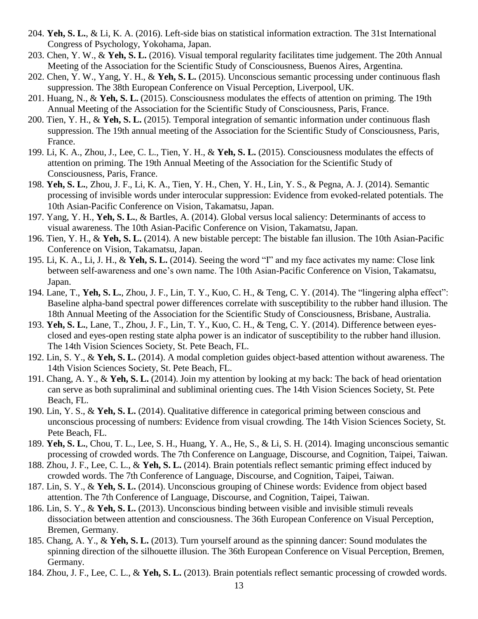- 204. **Yeh, S. L.**, & Li, K. A. (2016). Left-side bias on statistical information extraction. The 31st International Congress of Psychology, Yokohama, Japan.
- 203. Chen, Y. W., & **Yeh, S. L.** (2016). Visual temporal regularity facilitates time judgement. The 20th Annual Meeting of the Association for the Scientific Study of Consciousness, Buenos Aires, Argentina.
- 202. Chen, Y. W., Yang, Y. H., & **Yeh, S. L.** (2015). Unconscious semantic processing under continuous flash suppression. The 38th European Conference on Visual Perception, Liverpool, UK.
- 201. Huang, N., & **Yeh, S. L.** (2015). Consciousness modulates the effects of attention on priming. The 19th Annual Meeting of the Association for the Scientific Study of Consciousness, Paris, France.
- 200. Tien, Y. H., & **Yeh, S. L.** (2015). Temporal integration of semantic information under continuous flash suppression. The 19th annual meeting of the Association for the Scientific Study of Consciousness, Paris, France.
- 199. Li, K. A., Zhou, J., Lee, C. L., Tien, Y. H., & **Yeh, S. L.** (2015). Consciousness modulates the effects of attention on priming. The 19th Annual Meeting of the Association for the Scientific Study of Consciousness, Paris, France.
- 198. **Yeh, S. L.**, Zhou, J. F., Li, K. A., Tien, Y. H., Chen, Y. H., Lin, Y. S., & Pegna, A. J. (2014). Semantic processing of invisible words under interocular suppression: Evidence from evoked-related potentials. The 10th Asian-Pacific Conference on Vision, Takamatsu, Japan.
- 197. Yang, Y. H., **Yeh, S. L.**, & Bartles, A. (2014). Global versus local saliency: Determinants of access to visual awareness. The 10th Asian-Pacific Conference on Vision, Takamatsu, Japan.
- 196. Tien, Y. H., & **Yeh, S. L.** (2014). A new bistable percept: The bistable fan illusion. The 10th Asian-Pacific Conference on Vision, Takamatsu, Japan.
- 195. Li, K. A., Li, J. H., & **Yeh, S. L.** (2014). Seeing the word "I" and my face activates my name: Close link between self-awareness and one's own name. The 10th Asian-Pacific Conference on Vision, Takamatsu, Japan.
- 194. Lane, T., **Yeh, S. L.**, Zhou, J. F., Lin, T. Y., Kuo, C. H., & Teng, C. Y. (2014). The "lingering alpha effect": Baseline alpha-band spectral power differences correlate with susceptibility to the rubber hand illusion. The 18th Annual Meeting of the Association for the Scientific Study of Consciousness, Brisbane, Australia.
- 193. **Yeh, S. L.**, Lane, T., Zhou, J. F., Lin, T. Y., Kuo, C. H., & Teng, C. Y. (2014). Difference between eyesclosed and eyes-open resting state alpha power is an indicator of susceptibility to the rubber hand illusion. The 14th Vision Sciences Society, St. Pete Beach, FL.
- 192. Lin, S. Y., & **Yeh, S. L.** (2014). A modal completion guides object-based attention without awareness. The 14th Vision Sciences Society, St. Pete Beach, FL.
- 191. Chang, A. Y., & **Yeh, S. L.** (2014). Join my attention by looking at my back: The back of head orientation can serve as both supraliminal and subliminal orienting cues. The 14th Vision Sciences Society, St. Pete Beach, FL.
- 190. Lin, Y. S., & **Yeh, S. L.** (2014). Qualitative difference in categorical priming between conscious and unconscious processing of numbers: Evidence from visual crowding. The 14th Vision Sciences Society, St. Pete Beach, FL.
- 189. **Yeh, S. L.**, Chou, T. L., Lee, S. H., Huang, Y. A., He, S., & Li, S. H. (2014). Imaging unconscious semantic processing of crowded words. The 7th Conference on Language, Discourse, and Cognition, Taipei, Taiwan.
- 188. Zhou, J. F., Lee, C. L., & **Yeh, S. L.** (2014). Brain potentials reflect semantic priming effect induced by crowded words. The 7th Conference of Language, Discourse, and Cognition, Taipei, Taiwan.
- 187. Lin, S. Y., & **Yeh, S. L.** (2014). Unconscious grouping of Chinese words: Evidence from object based attention. The 7th Conference of Language, Discourse, and Cognition, Taipei, Taiwan.
- 186. Lin, S. Y., & **Yeh, S. L.** (2013). Unconscious binding between visible and invisible stimuli reveals dissociation between attention and consciousness. The 36th European Conference on Visual Perception, Bremen, Germany.
- 185. Chang, A. Y., & **Yeh, S. L.** (2013). Turn yourself around as the spinning dancer: Sound modulates the spinning direction of the silhouette illusion. The 36th European Conference on Visual Perception, Bremen, Germany.
- 184. Zhou, J. F., Lee, C. L., & **Yeh, S. L.** (2013). Brain potentials reflect semantic processing of crowded words.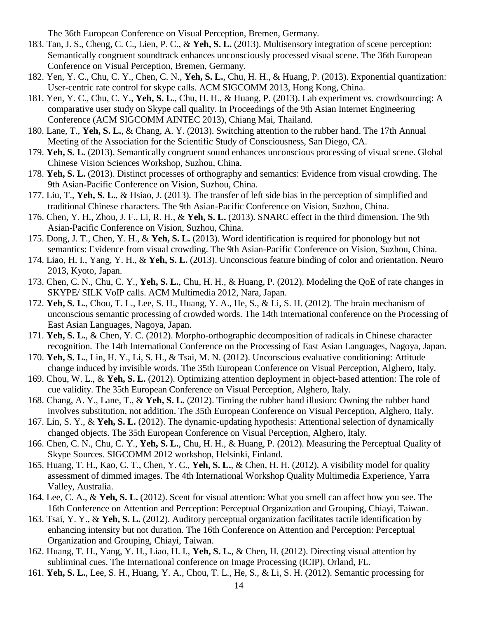The 36th European Conference on Visual Perception, Bremen, Germany.

- 183. Tan, J. S., Cheng, C. C., Lien, P. C., & **Yeh, S. L.** (2013). Multisensory integration of scene perception: Semantically congruent soundtrack enhances unconsciously processed visual scene. The 36th European Conference on Visual Perception, Bremen, Germany.
- 182. Yen, Y. C., Chu, C. Y., Chen, C. N., **Yeh, S. L.**, Chu, H. H., & Huang, P. (2013). Exponential quantization: User-centric rate control for skype calls. ACM SIGCOMM 2013, Hong Kong, China.
- 181. Yen, Y. C., Chu, C. Y., **Yeh, S. L.**, Chu, H. H., & Huang, P. (2013). Lab experiment vs. crowdsourcing: A comparative user study on Skype call quality. In Proceedings of the 9th Asian Internet Engineering Conference (ACM SIGCOMM AINTEC 2013), Chiang Mai, Thailand.
- 180. Lane, T., **Yeh, S. L.**, & Chang, A. Y. (2013). Switching attention to the rubber hand. The 17th Annual Meeting of the Association for the Scientific Study of Consciousness, San Diego, CA.
- 179. **Yeh, S. L.** (2013). Semantically congruent sound enhances unconscious processing of visual scene. Global Chinese Vision Sciences Workshop, Suzhou, China.
- 178. **Yeh, S. L.** (2013). Distinct processes of orthography and semantics: Evidence from visual crowding. The 9th Asian-Pacific Conference on Vision, Suzhou, China.
- 177. Liu, T., **Yeh, S. L.**, & Hsiao, J. (2013). The transfer of left side bias in the perception of simplified and traditional Chinese characters. The 9th Asian-Pacific Conference on Vision, Suzhou, China.
- 176. Chen, Y. H., Zhou, J. F., Li, R. H., & **Yeh, S. L.** (2013). SNARC effect in the third dimension. The 9th Asian-Pacific Conference on Vision, Suzhou, China.
- 175. Dong, J. T., Chen, Y. H., & **Yeh, S. L.** (2013). Word identification is required for phonology but not semantics: Evidence from visual crowding. The 9th Asian-Pacific Conference on Vision, Suzhou, China.
- 174. Liao, H. I., Yang, Y. H., & **Yeh, S. L.** (2013). Unconscious feature binding of color and orientation. Neuro 2013, Kyoto, Japan.
- 173. Chen, C. N., Chu, C. Y., **Yeh, S. L.**, Chu, H. H., & Huang, P. (2012). Modeling the QoE of rate changes in SKYPE/ SILK VoIP calls. ACM Multimedia 2012, Nara, Japan.
- 172. **Yeh, S. L.**, Chou, T. L., Lee, S. H., Huang, Y. A., He, S., & Li, S. H. (2012). The brain mechanism of unconscious semantic processing of crowded words. The 14th International conference on the Processing of East Asian Languages, Nagoya, Japan.
- 171. **Yeh, S. L.**, & Chen, Y. C. (2012). Morpho-orthographic decomposition of radicals in Chinese character recognition. The 14th International Conference on the Processing of East Asian Languages, Nagoya, Japan.
- 170. **Yeh, S. L.**, Lin, H. Y., Li, S. H., & Tsai, M. N. (2012). Unconscious evaluative conditioning: Attitude change induced by invisible words. The 35th European Conference on Visual Perception, Alghero, Italy.
- 169. Chou, W. L., & **Yeh, S. L.** (2012). Optimizing attention deployment in object-based attention: The role of cue validity. The 35th European Conference on Visual Perception, Alghero, Italy.
- 168. Chang, A. Y., Lane, T., & **Yeh, S. L.** (2012). Timing the rubber hand illusion: Owning the rubber hand involves substitution, not addition. The 35th European Conference on Visual Perception, Alghero, Italy.
- 167. Lin, S. Y., & **Yeh, S. L.** (2012). The dynamic-updating hypothesis: Attentional selection of dynamically changed objects. The 35th European Conference on Visual Perception, Alghero, Italy.
- 166. Chen, C. N., Chu, C. Y., **Yeh, S. L.**, Chu, H. H., & Huang, P. (2012). Measuring the Perceptual Quality of Skype Sources. SIGCOMM 2012 workshop, Helsinki, Finland.
- 165. Huang, T. H., Kao, C. T., Chen, Y. C., **Yeh, S. L.**, & Chen, H. H. (2012). A visibility model for quality assessment of dimmed images. The 4th International Workshop Quality Multimedia Experience, Yarra Valley, Australia.
- 164. Lee, C. A., & **Yeh, S. L.** (2012). Scent for visual attention: What you smell can affect how you see. The 16th Conference on Attention and Perception: Perceptual Organization and Grouping, Chiayi, Taiwan.
- 163. Tsai, Y. Y., & **Yeh, S. L.** (2012). Auditory perceptual organization facilitates tactile identification by enhancing intensity but not duration. The 16th Conference on Attention and Perception: Perceptual Organization and Grouping, Chiayi, Taiwan.
- 162. Huang, T. H., Yang, Y. H., Liao, H. I., **Yeh, S. L.**, & Chen, H. (2012). Directing visual attention by subliminal cues. The International conference on Image Processing (ICIP), Orland, FL.
- 161. **Yeh, S. L.**, Lee, S. H., Huang, Y. A., Chou, T. L., He, S., & Li, S. H. (2012). Semantic processing for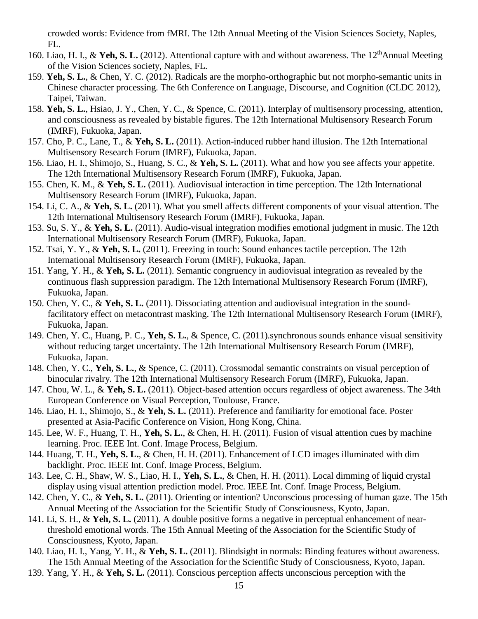crowded words: Evidence from fMRI. The 12th Annual Meeting of the Vision Sciences Society, Naples, FL.

- 160. Liao, H. I., & **Yeh, S. L.** (2012). Attentional capture with and without awareness. The 12<sup>th</sup>Annual Meeting of the Vision Sciences society, Naples, FL.
- 159. **Yeh, S. L.**, & Chen, Y. C. (2012). Radicals are the morpho-orthographic but not morpho-semantic units in Chinese character processing. The 6th Conference on Language, Discourse, and Cognition (CLDC 2012), Taipei, Taiwan.
- 158. **Yeh, S. L.**, Hsiao, J. Y., Chen, Y. C., & Spence, C. (2011). Interplay of multisensory processing, attention, and consciousness as revealed by bistable figures. The 12th International Multisensory Research Forum (IMRF), Fukuoka, Japan.
- 157. Cho, P. C., Lane, T., & **Yeh, S. L.** (2011). Action-induced rubber hand illusion. The 12th International Multisensory Research Forum (IMRF), Fukuoka, Japan.
- 156. Liao, H. I., Shimojo, S., Huang, S. C., & **Yeh, S. L.** (2011). What and how you see affects your appetite. The 12th International Multisensory Research Forum (IMRF), Fukuoka, Japan.
- 155. Chen, K. M., & **Yeh, S. L.** (2011). Audiovisual interaction in time perception. The 12th International Multisensory Research Forum (IMRF), Fukuoka, Japan.
- 154. Li, C. A., & **Yeh, S. L.** (2011). What you smell affects different components of your visual attention. The 12th International Multisensory Research Forum (IMRF), Fukuoka, Japan.
- 153. Su, S. Y., & **Yeh, S. L.** (2011). Audio-visual integration modifies emotional judgment in music. The 12th International Multisensory Research Forum (IMRF), Fukuoka, Japan.
- 152. Tsai, Y. Y., & **Yeh, S. L.** (2011). Freezing in touch: Sound enhances tactile perception. The 12th International Multisensory Research Forum (IMRF), Fukuoka, Japan.
- 151. Yang, Y. H., & **Yeh, S. L.** (2011). Semantic congruency in audiovisual integration as revealed by the continuous flash suppression paradigm. The 12th International Multisensory Research Forum (IMRF), Fukuoka, Japan.
- 150. Chen, Y. C., & **Yeh, S. L.** (2011). Dissociating attention and audiovisual integration in the soundfacilitatory effect on metacontrast masking. The 12th International Multisensory Research Forum (IMRF), Fukuoka, Japan.
- 149. Chen, Y. C., Huang, P. C., **Yeh, S. L.**, & Spence, C. (2011).synchronous sounds enhance visual sensitivity without reducing target uncertainty. The 12th International Multisensory Research Forum (IMRF), Fukuoka, Japan.
- 148. Chen, Y. C., **Yeh, S. L.**, & Spence, C. (2011). Crossmodal semantic constraints on visual perception of binocular rivalry. The 12th International Multisensory Research Forum (IMRF), Fukuoka, Japan.
- 147. Chou, W. L., & **Yeh, S. L.** (2011). Object-based attention occurs regardless of object awareness. The 34th European Conference on Visual Perception, Toulouse, France.
- 146. Liao, H. I., Shimojo, S., & **Yeh, S. L.** (2011). Preference and familiarity for emotional face. Poster presented at Asia-Pacific Conference on Vision, Hong Kong, China.
- 145. Lee, W. F., Huang, T. H., **Yeh, S. L.**, & Chen, H. H. (2011). Fusion of visual attention cues by machine learning. Proc. IEEE Int. Conf. Image Process, Belgium.
- 144. Huang, T. H., **Yeh, S. L.**, & Chen, H. H. (2011). Enhancement of LCD images illuminated with dim backlight. Proc. IEEE Int. Conf. Image Process, Belgium.
- 143. Lee, C. H., Shaw, W. S., Liao, H. I., **Yeh, S. L.**, & Chen, H. H. (2011). Local dimming of liquid crystal display using visual attention prediction model. Proc. IEEE Int. Conf. Image Process, Belgium.
- 142. Chen, Y. C., & **Yeh, S. L.** (2011). Orienting or intention? Unconscious processing of human gaze. The 15th Annual Meeting of the Association for the Scientific Study of Consciousness, Kyoto, Japan.
- 141. Li, S. H., & **Yeh, S. L.** (2011). A double positive forms a negative in perceptual enhancement of nearthreshold emotional words. The 15th Annual Meeting of the Association for the Scientific Study of Consciousness, Kyoto, Japan.
- 140. Liao, H. I., Yang, Y. H., & **Yeh, S. L.** (2011). Blindsight in normals: Binding features without awareness. The 15th Annual Meeting of the Association for the Scientific Study of Consciousness, Kyoto, Japan.
- 139. Yang, Y. H., & **Yeh, S. L.** (2011). Conscious perception affects unconscious perception with the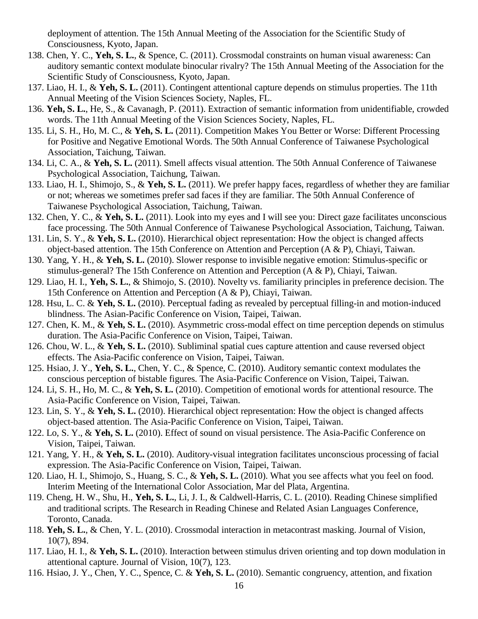deployment of attention. The 15th Annual Meeting of the Association for the Scientific Study of Consciousness, Kyoto, Japan.

- 138. Chen, Y. C., **Yeh, S. L.**, & Spence, C. (2011). Crossmodal constraints on human visual awareness: Can auditory semantic context modulate binocular rivalry? The 15th Annual Meeting of the Association for the Scientific Study of Consciousness, Kyoto, Japan.
- 137. Liao, H. I., & **Yeh, S. L.** (2011). Contingent attentional capture depends on stimulus properties. The 11th Annual Meeting of the Vision Sciences Society, Naples, FL.
- 136. **Yeh, S. L.**, He, S., & Cavanagh, P. (2011). Extraction of semantic information from unidentifiable, crowded words. The 11th Annual Meeting of the Vision Sciences Society, Naples, FL.
- 135. Li, S. H., Ho, M. C., & **Yeh, S. L.** (2011). Competition Makes You Better or Worse: Different Processing for Positive and Negative Emotional Words. The 50th Annual Conference of Taiwanese Psychological Association, Taichung, Taiwan.
- 134. Li, C. A., & **Yeh, S. L.** (2011). Smell affects visual attention. The 50th Annual Conference of Taiwanese Psychological Association, Taichung, Taiwan.
- 133. Liao, H. I., Shimojo, S., & **Yeh, S. L.** (2011). We prefer happy faces, regardless of whether they are familiar or not; whereas we sometimes prefer sad faces if they are familiar. The 50th Annual Conference of Taiwanese Psychological Association, Taichung, Taiwan.
- 132. Chen, Y. C., & **Yeh, S. L.** (2011). Look into my eyes and I will see you: Direct gaze facilitates unconscious face processing. The 50th Annual Conference of Taiwanese Psychological Association, Taichung, Taiwan.
- 131. Lin, S. Y., & **Yeh, S. L.** (2010). Hierarchical object representation: How the object is changed affects object-based attention. The 15th Conference on Attention and Perception (A & P), Chiayi, Taiwan.
- 130. Yang, Y. H., & **Yeh, S. L.** (2010). Slower response to invisible negative emotion: Stimulus-specific or stimulus-general? The 15th Conference on Attention and Perception (A & P), Chiayi, Taiwan.
- 129. Liao, H. I., **Yeh, S. L.**, & Shimojo, S. (2010). Novelty vs. familiarity principles in preference decision. The 15th Conference on Attention and Perception (A & P), Chiayi, Taiwan.
- 128. Hsu, L. C. & **Yeh, S. L.** (2010). Perceptual fading as revealed by perceptual filling-in and motion-induced blindness. The Asian-Pacific Conference on Vision, Taipei, Taiwan.
- 127. Chen, K. M., & **Yeh, S. L.** (2010). Asymmetric cross-modal effect on time perception depends on stimulus duration. The Asia-Pacific Conference on Vision, Taipei, Taiwan.
- 126. Chou, W. L., & **Yeh, S. L.** (2010). Subliminal spatial cues capture attention and cause reversed object effects. The Asia-Pacific conference on Vision, Taipei, Taiwan.
- 125. Hsiao, J. Y., **Yeh, S. L.**, Chen, Y. C., & Spence, C. (2010). Auditory semantic context modulates the conscious perception of bistable figures. The Asia-Pacific Conference on Vision, Taipei, Taiwan.
- 124. Li, S. H., Ho, M. C., & **Yeh, S. L.** (2010). Competition of emotional words for attentional resource. The Asia-Pacific Conference on Vision, Taipei, Taiwan.
- 123. Lin, S. Y., & **Yeh, S. L.** (2010). Hierarchical object representation: How the object is changed affects object-based attention. The Asia-Pacific Conference on Vision, Taipei, Taiwan.
- 122. Lo, S. Y., & **Yeh, S. L.** (2010). Effect of sound on visual persistence. The Asia-Pacific Conference on Vision, Taipei, Taiwan.
- 121. Yang, Y. H., & **Yeh, S. L.** (2010). Auditory-visual integration facilitates unconscious processing of facial expression. The Asia-Pacific Conference on Vision, Taipei, Taiwan.
- 120. Liao, H. I., Shimojo, S., Huang, S. C., & **Yeh, S. L.** (2010). What you see affects what you feel on food. Interim Meeting of the International Color Association, Mar del Plata, Argentina.
- 119. Cheng, H. W., Shu, H., **Yeh, S. L.**, Li, J. I., & Caldwell-Harris, C. L. (2010). Reading Chinese simplified and traditional scripts. The Research in Reading Chinese and Related Asian Languages Conference, Toronto, Canada.
- 118. **Yeh, S. L.**, & Chen, Y. L. (2010). Crossmodal interaction in metacontrast masking. Journal of Vision, 10(7), 894.
- 117. Liao, H. I., & **Yeh, S. L.** (2010). Interaction between stimulus driven orienting and top down modulation in attentional capture. Journal of Vision, 10(7), 123.
- 116. Hsiao, J. Y., Chen, Y. C., Spence, C. & **Yeh, S. L.** (2010). Semantic congruency, attention, and fixation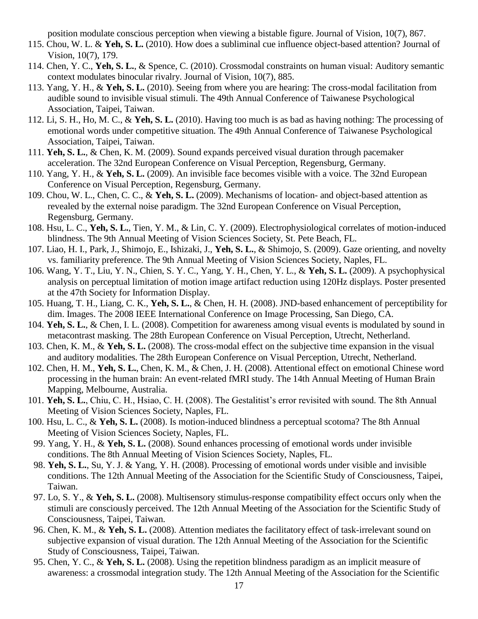position modulate conscious perception when viewing a bistable figure. Journal of Vision, 10(7), 867.

- 115. Chou, W. L. & **Yeh, S. L.** (2010). How does a subliminal cue influence object-based attention? Journal of Vision, 10(7), 179.
- 114. Chen, Y. C., **Yeh, S. L.**, & Spence, C. (2010). Crossmodal constraints on human visual: Auditory semantic context modulates binocular rivalry. Journal of Vision, 10(7), 885.
- 113. Yang, Y. H., & **Yeh, S. L.** (2010). Seeing from where you are hearing: The cross-modal facilitation from audible sound to invisible visual stimuli. The 49th Annual Conference of Taiwanese Psychological Association, Taipei, Taiwan.
- 112. Li, S. H., Ho, M. C., & **Yeh, S. L.** (2010). Having too much is as bad as having nothing: The processing of emotional words under competitive situation. The 49th Annual Conference of Taiwanese Psychological Association, Taipei, Taiwan.
- 111. **Yeh, S. L.**, & Chen, K. M. (2009). Sound expands perceived visual duration through pacemaker acceleration. The 32nd European Conference on Visual Perception, Regensburg, Germany.
- 110. Yang, Y. H., & **Yeh, S. L.** (2009). An invisible face becomes visible with a voice. The 32nd European Conference on Visual Perception, Regensburg, Germany.
- 109. Chou, W. L., Chen, C. C., & **Yeh, S. L.** (2009). Mechanisms of location- and object-based attention as revealed by the external noise paradigm. The 32nd European Conference on Visual Perception, Regensburg, Germany.
- 108. Hsu, L. C., **Yeh, S. L.**, Tien, Y. M., & Lin, C. Y. (2009). Electrophysiological correlates of motion-induced blindness. The 9th Annual Meeting of Vision Sciences Society, St. Pete Beach, FL.
- 107. Liao, H. I., Park, J., Shimojo, E., Ishizaki, J., **Yeh, S. L.**, & Shimojo, S. (2009). Gaze orienting, and novelty vs. familiarity preference. The 9th Annual Meeting of Vision Sciences Society, Naples, FL.
- 106. Wang, Y. T., Liu, Y. N., Chien, S. Y. C., Yang, Y. H., Chen, Y. L., & **Yeh, S. L.** (2009). A psychophysical analysis on perceptual limitation of motion image artifact reduction using 120Hz displays. Poster presented at the 47th Society for Information Display.
- 105. Huang, T. H., Liang, C. K., **Yeh, S. L.**, & Chen, H. H. (2008). JND-based enhancement of perceptibility for dim. Images. The 2008 IEEE International Conference on Image Processing, San Diego, CA.
- 104. **Yeh, S. L.**, & Chen, I. L. (2008). Competition for awareness among visual events is modulated by sound in metacontrast masking. The 28th European Conference on Visual Perception, Utrecht, Netherland.
- 103. Chen, K. M., & **Yeh, S. L.** (2008). The cross-modal effect on the subjective time expansion in the visual and auditory modalities. The 28th European Conference on Visual Perception, Utrecht, Netherland.
- 102. Chen, H. M., **Yeh, S. L.**, Chen, K. M., & Chen, J. H. (2008). Attentional effect on emotional Chinese word processing in the human brain: An event-related fMRI study. The 14th Annual Meeting of Human Brain Mapping, Melbourne, Australia.
- 101. **Yeh, S. L.**, Chiu, C. H., Hsiao, C. H. (2008). The Gestalitist's error revisited with sound. The 8th Annual Meeting of Vision Sciences Society, Naples, FL.
- 100. Hsu, L. C., & **Yeh, S. L.** (2008). Is motion-induced blindness a perceptual scotoma? The 8th Annual Meeting of Vision Sciences Society, Naples, FL.
- 99. Yang, Y. H., & **Yeh, S. L.** (2008). Sound enhances processing of emotional words under invisible conditions. The 8th Annual Meeting of Vision Sciences Society, Naples, FL.
- 98. **Yeh, S. L.**, Su, Y. J. & Yang, Y. H. (2008). Processing of emotional words under visible and invisible conditions. The 12th Annual Meeting of the Association for the Scientific Study of Consciousness, Taipei, Taiwan.
- 97. Lo, S. Y., & **Yeh, S. L.** (2008). Multisensory stimulus-response compatibility effect occurs only when the stimuli are consciously perceived. The 12th Annual Meeting of the Association for the Scientific Study of Consciousness, Taipei, Taiwan.
- 96. Chen, K. M., & **Yeh, S. L.** (2008). Attention mediates the facilitatory effect of task-irrelevant sound on subjective expansion of visual duration. The 12th Annual Meeting of the Association for the Scientific Study of Consciousness, Taipei, Taiwan.
- 95. Chen, Y. C., & **Yeh, S. L.** (2008). Using the repetition blindness paradigm as an implicit measure of awareness: a crossmodal integration study. The 12th Annual Meeting of the Association for the Scientific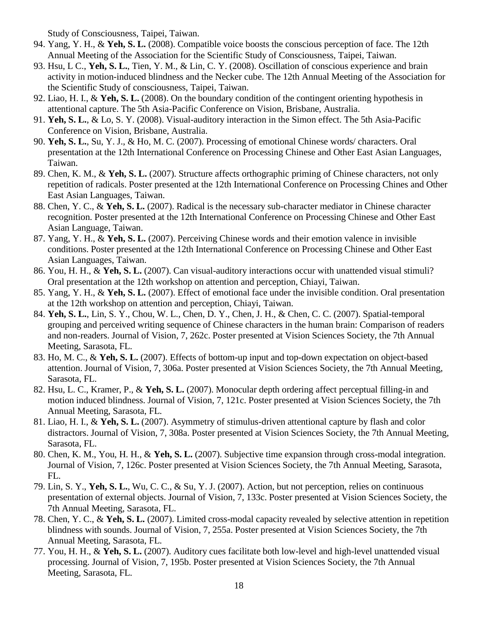Study of Consciousness, Taipei, Taiwan.

- 94. Yang, Y. H., & **Yeh, S. L.** (2008). Compatible voice boosts the conscious perception of face. The 12th Annual Meeting of the Association for the Scientific Study of Consciousness, Taipei, Taiwan.
- 93. Hsu, L C., **Yeh, S. L.**, Tien, Y. M., & Lin, C. Y. (2008). Oscillation of conscious experience and brain activity in motion-induced blindness and the Necker cube. The 12th Annual Meeting of the Association for the Scientific Study of consciousness, Taipei, Taiwan.
- 92. Liao, H. I., & **Yeh, S. L.** (2008). On the boundary condition of the contingent orienting hypothesis in attentional capture. The 5th Asia-Pacific Conference on Vision, Brisbane, Australia.
- 91. **Yeh, S. L.**, & Lo, S. Y. (2008). Visual-auditory interaction in the Simon effect. The 5th Asia-Pacific Conference on Vision, Brisbane, Australia.
- 90. **Yeh, S. L.**, Su, Y. J., & Ho, M. C. (2007). Processing of emotional Chinese words/ characters. Oral presentation at the 12th International Conference on Processing Chinese and Other East Asian Languages, Taiwan.
- 89. Chen, K. M., & **Yeh, S. L.** (2007). Structure affects orthographic priming of Chinese characters, not only repetition of radicals. Poster presented at the 12th International Conference on Processing Chines and Other East Asian Languages, Taiwan.
- 88. Chen, Y. C., & **Yeh, S. L.** (2007). Radical is the necessary sub-character mediator in Chinese character recognition. Poster presented at the 12th International Conference on Processing Chinese and Other East Asian Language, Taiwan.
- 87. Yang, Y. H., & **Yeh, S. L.** (2007). Perceiving Chinese words and their emotion valence in invisible conditions. Poster presented at the 12th International Conference on Processing Chinese and Other East Asian Languages, Taiwan.
- 86. You, H. H., & **Yeh, S. L.** (2007). Can visual-auditory interactions occur with unattended visual stimuli? Oral presentation at the 12th workshop on attention and perception, Chiayi, Taiwan.
- 85. Yang, Y. H., & **Yeh, S. L.** (2007). Effect of emotional face under the invisible condition. Oral presentation at the 12th workshop on attention and perception, Chiayi, Taiwan.
- 84. **Yeh, S. L.**, Lin, S. Y., Chou, W. L., Chen, D. Y., Chen, J. H., & Chen, C. C. (2007). Spatial-temporal grouping and perceived writing sequence of Chinese characters in the human brain: Comparison of readers and non-readers. Journal of Vision, 7, 262c. Poster presented at Vision Sciences Society, the 7th Annual Meeting, Sarasota, FL.
- 83. Ho, M. C., & **Yeh, S. L.** (2007). Effects of bottom-up input and top-down expectation on object-based attention. Journal of Vision, 7, 306a. Poster presented at Vision Sciences Society, the 7th Annual Meeting, Sarasota, FL.
- 82. Hsu, L. C., Kramer, P., & **Yeh, S. L.** (2007). Monocular depth ordering affect perceptual filling-in and motion induced blindness. Journal of Vision, 7, 121c. Poster presented at Vision Sciences Society, the 7th Annual Meeting, Sarasota, FL.
- 81. Liao, H. I., & **Yeh, S. L.** (2007). Asymmetry of stimulus-driven attentional capture by flash and color distractors. Journal of Vision, 7, 308a. Poster presented at Vision Sciences Society, the 7th Annual Meeting, Sarasota, FL.
- 80. Chen, K. M., You, H. H., & **Yeh, S. L.** (2007). Subjective time expansion through cross-modal integration. Journal of Vision, 7, 126c. Poster presented at Vision Sciences Society, the 7th Annual Meeting, Sarasota, FL.
- 79. Lin, S. Y., **Yeh, S. L.**, Wu, C. C., & Su, Y. J. (2007). Action, but not perception, relies on continuous presentation of external objects. Journal of Vision, 7, 133c. Poster presented at Vision Sciences Society, the 7th Annual Meeting, Sarasota, FL.
- 78. Chen, Y. C., & **Yeh, S. L.** (2007). Limited cross-modal capacity revealed by selective attention in repetition blindness with sounds. Journal of Vision, 7, 255a. Poster presented at Vision Sciences Society, the 7th Annual Meeting, Sarasota, FL.
- 77. You, H. H., & **Yeh, S. L.** (2007). Auditory cues facilitate both low-level and high-level unattended visual processing. Journal of Vision, 7, 195b. Poster presented at Vision Sciences Society, the 7th Annual Meeting, Sarasota, FL.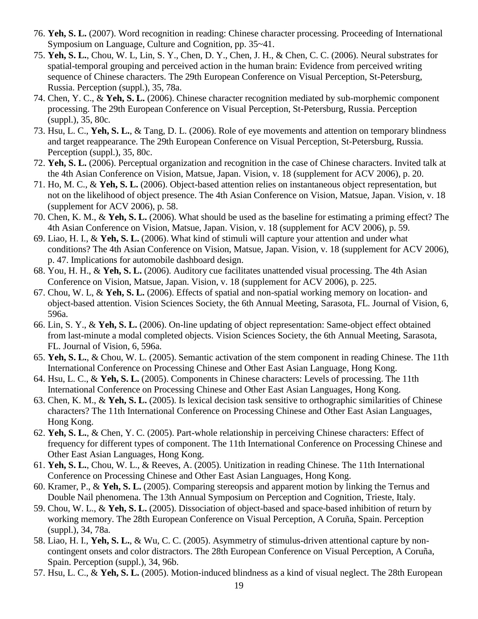- 76. **Yeh, S. L.** (2007). Word recognition in reading: Chinese character processing. Proceeding of International Symposium on Language, Culture and Cognition, pp. 35~41.
- 75. **Yeh, S. L.**, Chou, W. L, Lin, S. Y., Chen, D. Y., Chen, J. H., & Chen, C. C. (2006). Neural substrates for spatial-temporal grouping and perceived action in the human brain: Evidence from perceived writing sequence of Chinese characters. The 29th European Conference on Visual Perception, St-Petersburg, Russia. Perception (suppl.), 35, 78a.
- 74. Chen, Y. C., & **Yeh, S. L.** (2006). Chinese character recognition mediated by sub-morphemic component processing. The 29th European Conference on Visual Perception, St-Petersburg, Russia. Perception (suppl.), 35, 80c.
- 73. Hsu, L. C., **Yeh, S. L.**, & Tang, D. L. (2006). Role of eye movements and attention on temporary blindness and target reappearance. The 29th European Conference on Visual Perception, St-Petersburg, Russia. Perception (suppl.), 35, 80c.
- 72. **Yeh, S. L.** (2006). Perceptual organization and recognition in the case of Chinese characters. Invited talk at the 4th Asian Conference on Vision, Matsue, Japan. Vision, v. 18 (supplement for ACV 2006), p. 20.
- 71. Ho, M. C., & **Yeh, S. L.** (2006). Object-based attention relies on instantaneous object representation, but not on the likelihood of object presence. The 4th Asian Conference on Vision, Matsue, Japan. Vision, v. 18 (supplement for ACV 2006), p. 58.
- 70. Chen, K. M., & **Yeh, S. L.** (2006). What should be used as the baseline for estimating a priming effect? The 4th Asian Conference on Vision, Matsue, Japan. Vision, v. 18 (supplement for ACV 2006), p. 59.
- 69. Liao, H. I., & **Yeh, S. L.** (2006). What kind of stimuli will capture your attention and under what conditions? The 4th Asian Conference on Vision, Matsue, Japan. Vision, v. 18 (supplement for ACV 2006), p. 47. Implications for automobile dashboard design.
- 68. You, H. H., & **Yeh, S. L.** (2006). Auditory cue facilitates unattended visual processing. The 4th Asian Conference on Vision, Matsue, Japan. Vision, v. 18 (supplement for ACV 2006), p. 225.
- 67. Chou, W. L, & **Yeh, S. L.** (2006). Effects of spatial and non-spatial working memory on location- and object-based attention. Vision Sciences Society, the 6th Annual Meeting, Sarasota, FL. Journal of Vision, 6, 596a.
- 66. Lin, S. Y., & **Yeh, S. L.** (2006). On-line updating of object representation: Same-object effect obtained from last-minute a modal completed objects. Vision Sciences Society, the 6th Annual Meeting, Sarasota, FL. Journal of Vision, 6, 596a.
- 65. **Yeh, S. L.**, & Chou, W. L. (2005). Semantic activation of the stem component in reading Chinese. The 11th International Conference on Processing Chinese and Other East Asian Language, Hong Kong.
- 64. Hsu, L. C., & **Yeh, S. L.** (2005). Components in Chinese characters: Levels of processing. The 11th International Conference on Processing Chinese and Other East Asian Languages, Hong Kong.
- 63. Chen, K. M., & **Yeh, S. L.** (2005). Is lexical decision task sensitive to orthographic similarities of Chinese characters? The 11th International Conference on Processing Chinese and Other East Asian Languages, Hong Kong.
- 62. **Yeh, S. L.**, & Chen, Y. C. (2005). Part-whole relationship in perceiving Chinese characters: Effect of frequency for different types of component. The 11th International Conference on Processing Chinese and Other East Asian Languages, Hong Kong.
- 61. **Yeh, S. L.**, Chou, W. L., & Reeves, A. (2005). Unitization in reading Chinese. The 11th International Conference on Processing Chinese and Other East Asian Languages, Hong Kong.
- 60. Kramer, P., & **Yeh, S. L.** (2005). Comparing stereopsis and apparent motion by linking the Ternus and Double Nail phenomena. The 13th Annual Symposium on Perception and Cognition, Trieste, Italy.
- 59. Chou, W. L., & **Yeh, S. L.** (2005). Dissociation of object-based and space-based inhibition of return by working memory. The 28th European Conference on Visual Perception, A Coruña, Spain. Perception (suppl.), 34, 78a.
- 58. Liao, H. I., **Yeh, S. L.**, & Wu, C. C. (2005). Asymmetry of stimulus-driven attentional capture by noncontingent onsets and color distractors. The 28th European Conference on Visual Perception, A Coruña, Spain. Perception (suppl.), 34, 96b.
- 57. Hsu, L. C., & **Yeh, S. L.** (2005). Motion-induced blindness as a kind of visual neglect. The 28th European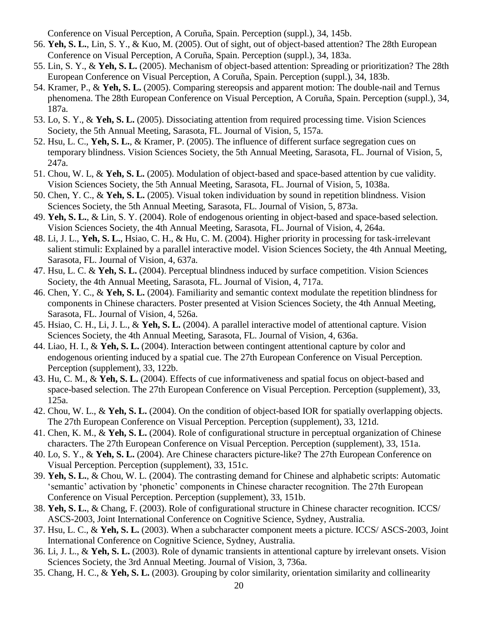Conference on Visual Perception, A Coruña, Spain. Perception (suppl.), 34, 145b.

- 56. **Yeh, S. L.**, Lin, S. Y., & Kuo, M. (2005). Out of sight, out of object-based attention? The 28th European Conference on Visual Perception, A Coruña, Spain. Perception (suppl.), 34, 183a.
- 55. Lin, S. Y., & **Yeh, S. L.** (2005). Mechanism of object-based attention: Spreading or prioritization? The 28th European Conference on Visual Perception, A Coruña, Spain. Perception (suppl.), 34, 183b.
- 54. Kramer, P., & **Yeh, S. L.** (2005). Comparing stereopsis and apparent motion: The double-nail and Ternus phenomena. The 28th European Conference on Visual Perception, A Coruña, Spain. Perception (suppl.), 34, 187a.
- 53. Lo, S. Y., & **Yeh, S. L.** (2005). Dissociating attention from required processing time. Vision Sciences Society, the 5th Annual Meeting, Sarasota, FL. Journal of Vision, 5, 157a.
- 52. Hsu, L. C., **Yeh, S. L.**, & Kramer, P. (2005). The influence of different surface segregation cues on temporary blindness. Vision Sciences Society, the 5th Annual Meeting, Sarasota, FL. Journal of Vision, 5, 247a.
- 51. Chou, W. L, & **Yeh, S. L.** (2005). Modulation of object-based and space-based attention by cue validity. Vision Sciences Society, the 5th Annual Meeting, Sarasota, FL. Journal of Vision, 5, 1038a.
- 50. Chen, Y. C., & **Yeh, S. L.** (2005). Visual token individuation by sound in repetition blindness. Vision Sciences Society, the 5th Annual Meeting, Sarasota, FL. Journal of Vision, 5, 873a.
- 49. **Yeh, S. L.**, & Lin, S. Y. (2004). Role of endogenous orienting in object-based and space-based selection. Vision Sciences Society, the 4th Annual Meeting, Sarasota, FL. Journal of Vision, 4, 264a.
- 48. Li, J. L., **Yeh, S. L.**, Hsiao, C. H., & Hu, C. M. (2004). Higher priority in processing for task-irrelevant salient stimuli: Explained by a parallel interactive model. Vision Sciences Society, the 4th Annual Meeting, Sarasota, FL. Journal of Vision, 4, 637a.
- 47. Hsu, L. C. & **Yeh, S. L.** (2004). Perceptual blindness induced by surface competition. Vision Sciences Society, the 4th Annual Meeting, Sarasota, FL. Journal of Vision, 4, 717a.
- 46. Chen, Y. C., & **Yeh, S. L.** (2004). Familiarity and semantic context modulate the repetition blindness for components in Chinese characters. Poster presented at Vision Sciences Society, the 4th Annual Meeting, Sarasota, FL. Journal of Vision, 4, 526a.
- 45. Hsiao, C. H., Li, J. L., & **Yeh, S. L.** (2004). A parallel interactive model of attentional capture. Vision Sciences Society, the 4th Annual Meeting, Sarasota, FL. Journal of Vision, 4, 636a.
- 44. Liao, H. I., & **Yeh, S. L.** (2004). Interaction between contingent attentional capture by color and endogenous orienting induced by a spatial cue. The 27th European Conference on Visual Perception. Perception (supplement), 33, 122b.
- 43. Hu, C. M., & **Yeh, S. L.** (2004). Effects of cue informativeness and spatial focus on object-based and space-based selection. The 27th European Conference on Visual Perception. Perception (supplement), 33, 125a.
- 42. Chou, W. L., & **Yeh, S. L.** (2004). On the condition of object-based IOR for spatially overlapping objects. The 27th European Conference on Visual Perception. Perception (supplement), 33, 121d.
- 41. Chen, K. M., & **Yeh, S. L.** (2004). Role of configurational structure in perceptual organization of Chinese characters. The 27th European Conference on Visual Perception. Perception (supplement), 33, 151a.
- 40. Lo, S. Y., & **Yeh, S. L.** (2004). Are Chinese characters picture-like? The 27th European Conference on Visual Perception. Perception (supplement), 33, 151c.
- 39. **Yeh, S. L.**, & Chou, W. L. (2004). The contrasting demand for Chinese and alphabetic scripts: Automatic 'semantic' activation by 'phonetic' components in Chinese character recognition. The 27th European Conference on Visual Perception. Perception (supplement), 33, 151b.
- 38. **Yeh, S. L.**, & Chang, F. (2003). Role of configurational structure in Chinese character recognition. ICCS/ ASCS-2003, Joint International Conference on Cognitive Science, Sydney, Australia.
- 37. Hsu, L. C., & **Yeh, S. L.** (2003). When a subcharacter component meets a picture. ICCS/ ASCS-2003, Joint International Conference on Cognitive Science, Sydney, Australia.
- 36. Li, J. L., & **Yeh, S. L.** (2003). Role of dynamic transients in attentional capture by irrelevant onsets. Vision Sciences Society, the 3rd Annual Meeting. Journal of Vision, 3, 736a.
- 35. Chang, H. C., & **Yeh, S. L.** (2003). Grouping by color similarity, orientation similarity and collinearity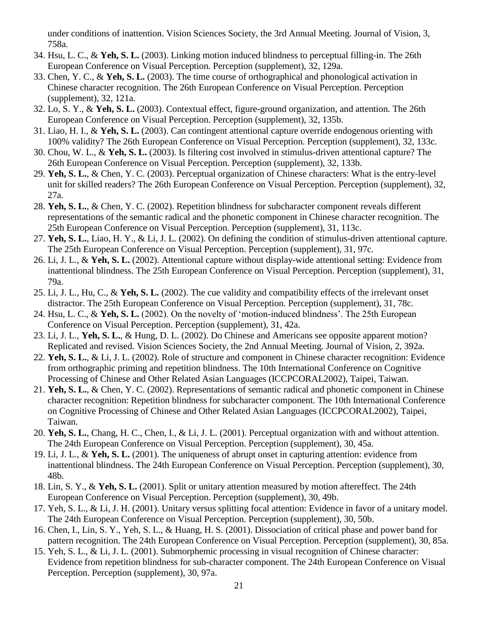under conditions of inattention. Vision Sciences Society, the 3rd Annual Meeting. Journal of Vision, 3, 758a.

- 34. Hsu, L. C., & **Yeh, S. L.** (2003). Linking motion induced blindness to perceptual filling-in. The 26th European Conference on Visual Perception. Perception (supplement), 32, 129a.
- 33. Chen, Y. C., & **Yeh, S. L.** (2003). The time course of orthographical and phonological activation in Chinese character recognition. The 26th European Conference on Visual Perception. Perception (supplement), 32, 121a.
- 32. Lo, S. Y., & **Yeh, S. L.** (2003). Contextual effect, figure-ground organization, and attention. The 26th European Conference on Visual Perception. Perception (supplement), 32, 135b.
- 31. Liao, H. I., & **Yeh, S. L.** (2003). Can contingent attentional capture override endogenous orienting with 100% validity? The 26th European Conference on Visual Perception. Perception (supplement), 32, 133c.
- 30. Chou, W. L., & **Yeh, S. L.** (2003). Is filtering cost involved in stimulus-driven attentional capture? The 26th European Conference on Visual Perception. Perception (supplement), 32, 133b.
- 29. **Yeh, S. L.**, & Chen, Y. C. (2003). Perceptual organization of Chinese characters: What is the entry-level unit for skilled readers? The 26th European Conference on Visual Perception. Perception (supplement), 32, 27a.
- 28. **Yeh, S. L.**, & Chen, Y. C. (2002). Repetition blindness for subcharacter component reveals different representations of the semantic radical and the phonetic component in Chinese character recognition. The 25th European Conference on Visual Perception. Perception (supplement), 31, 113c.
- 27. **Yeh, S. L.**, Liao, H. Y., & Li, J. L. (2002). On defining the condition of stimulus-driven attentional capture. The 25th European Conference on Visual Perception. Perception (supplement), 31, 97c.
- 26. Li, J. L., & **Yeh, S. L.** (2002). Attentional capture without display-wide attentional setting: Evidence from inattentional blindness. The 25th European Conference on Visual Perception. Perception (supplement), 31, 79a.
- 25. Li, J. L., Hu, C., & **Yeh, S. L.** (2002). The cue validity and compatibility effects of the irrelevant onset distractor. The 25th European Conference on Visual Perception. Perception (supplement), 31, 78c.
- 24. Hsu, L. C., & **Yeh, S. L.** (2002). On the novelty of 'motion-induced blindness'. The 25th European Conference on Visual Perception. Perception (supplement), 31, 42a.
- 23. Li, J. L., **Yeh, S. L.**, & Hung, D. L. (2002). Do Chinese and Americans see opposite apparent motion? Replicated and revised. Vision Sciences Society, the 2nd Annual Meeting. Journal of Vision, 2, 392a.
- 22. **Yeh, S. L.**, & Li, J. L. (2002). Role of structure and component in Chinese character recognition: Evidence from orthographic priming and repetition blindness. The 10th International Conference on Cognitive Processing of Chinese and Other Related Asian Languages (ICCPCORAL2002), Taipei, Taiwan.
- 21. **Yeh, S. L.**, & Chen, Y. C. (2002). Representations of semantic radical and phonetic component in Chinese character recognition: Repetition blindness for subcharacter component. The 10th International Conference on Cognitive Processing of Chinese and Other Related Asian Languages (ICCPCORAL2002), Taipei, Taiwan.
- 20. **Yeh, S. L.**, Chang, H. C., Chen, I., & Li, J. L. (2001). Perceptual organization with and without attention. The 24th European Conference on Visual Perception. Perception (supplement), 30, 45a.
- 19. Li, J. L., & **Yeh, S. L.** (2001). The uniqueness of abrupt onset in capturing attention: evidence from inattentional blindness. The 24th European Conference on Visual Perception. Perception (supplement), 30, 48b.
- 18. Lin, S. Y., & **Yeh, S. L.** (2001). Split or unitary attention measured by motion aftereffect. The 24th European Conference on Visual Perception. Perception (supplement), 30, 49b.
- 17. Yeh, S. L., & Li, J. H. (2001). Unitary versus splitting focal attention: Evidence in favor of a unitary model. The 24th European Conference on Visual Perception. Perception (supplement), 30, 50b.
- 16. Chen, I., Lin, S. Y., Yeh, S. L., & Huang, H. S. (2001). Dissociation of critical phase and power band for pattern recognition. The 24th European Conference on Visual Perception. Perception (supplement), 30, 85a.
- 15. Yeh, S. L., & Li, J. L. (2001). Submorphemic processing in visual recognition of Chinese character: Evidence from repetition blindness for sub-character component. The 24th European Conference on Visual Perception. Perception (supplement), 30, 97a.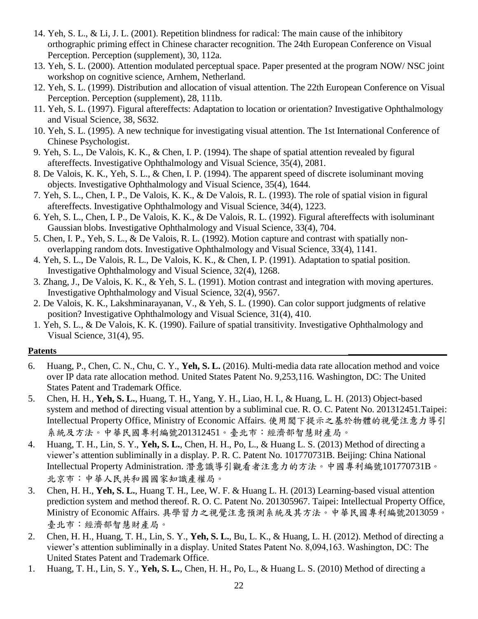- 14. Yeh, S. L., & Li, J. L. (2001). Repetition blindness for radical: The main cause of the inhibitory orthographic priming effect in Chinese character recognition. The 24th European Conference on Visual Perception. Perception (supplement), 30, 112a.
- 13. Yeh, S. L. (2000). Attention modulated perceptual space. Paper presented at the program NOW/ NSC joint workshop on cognitive science, Arnhem, Netherland.
- 12. Yeh, S. L. (1999). Distribution and allocation of visual attention. The 22th European Conference on Visual Perception. Perception (supplement), 28, 111b.
- 11. Yeh, S. L. (1997). Figural aftereffects: Adaptation to location or orientation? Investigative Ophthalmology and Visual Science, 38, S632.
- 10. Yeh, S. L. (1995). A new technique for investigating visual attention. The 1st International Conference of Chinese Psychologist.
- 9. Yeh, S. L., De Valois, K. K., & Chen, I. P. (1994). The shape of spatial attention revealed by figural aftereffects. Investigative Ophthalmology and Visual Science, 35(4), 2081.
- 8. De Valois, K. K., Yeh, S. L., & Chen, I. P. (1994). The apparent speed of discrete isoluminant moving objects. Investigative Ophthalmology and Visual Science, 35(4), 1644.
- 7. Yeh, S. L., Chen, I. P., De Valois, K. K., & De Valois, R. L. (1993). The role of spatial vision in figural aftereffects. Investigative Ophthalmology and Visual Science, 34(4), 1223.
- 6. Yeh, S. L., Chen, I. P., De Valois, K. K., & De Valois, R. L. (1992). Figural aftereffects with isoluminant Gaussian blobs. Investigative Ophthalmology and Visual Science, 33(4), 704.
- 5. Chen, I. P., Yeh, S. L., & De Valois, R. L. (1992). Motion capture and contrast with spatially nonoverlapping random dots. Investigative Ophthalmology and Visual Science, 33(4), 1141.
- 4. Yeh, S. L., De Valois, R. L., De Valois, K. K., & Chen, I. P. (1991). Adaptation to spatial position. Investigative Ophthalmology and Visual Science, 32(4), 1268.
- 3. Zhang, J., De Valois, K. K., & Yeh, S. L. (1991). Motion contrast and integration with moving apertures. Investigative Ophthalmology and Visual Science, 32(4), 9567.
- 2. De Valois, K. K., Lakshminarayanan, V., & Yeh, S. L. (1990). Can color support judgments of relative position? Investigative Ophthalmology and Visual Science, 31(4), 410.
- 1. Yeh, S. L., & De Valois, K. K. (1990). Failure of spatial transitivity. Investigative Ophthalmology and Visual Science, 31(4), 95.

#### **Patents \_\_\_\_\_\_\_\_\_\_\_\_\_\_\_\_\_\_\_\_\_\_**

- 6. Huang, P., Chen, C. N., Chu, C. Y., **Yeh, S. L.** (2016). Multi-media data rate allocation method and voice over IP data rate allocation method. United States Patent No. 9,253,116. Washington, DC: The United States Patent and Trademark Office.
- 5. Chen, H. H., **Yeh, S. L.**, Huang, T. H., Yang, Y. H., Liao, H. I., & Huang, L. H. (2013) Object-based system and method of directing visual attention by a subliminal cue. R. O. C. Patent No. 201312451.Taipei: Intellectual Property Office, Ministry of Economic Affairs. 使用閾下提示之基於物體的視覺注意力導引 系統及方法。中華民國專利編號201312451。臺北市:經濟部智慧財產局。
- 4. Huang, T. H., Lin, S. Y., **Yeh, S. L.**, Chen, H. H., Po, L., & Huang L. S. (2013) Method of directing a viewer's attention subliminally in a display. P. R. C. Patent No. 101770731B. Beijing: China National Intellectual Property Administration. 潛意識導引觀看者注意力的方法。中國專利編號101770731B。 北京市:中華人民共和國國家知識產權局。
- 3. Chen, H. H., **Yeh, S. L.**, Huang T. H., Lee, W. F. & Huang L. H. (2013) Learning-based visual attention prediction system and method thereof. R. O. C. Patent No. 201305967. Taipei: Intellectual Property Office, Ministry of Economic Affairs. 具學習力之視覺注意預測系統及其方法。中華民國專利編號2013059。 臺北市:經濟部智慧財產局。
- 2. Chen, H. H., Huang, T. H., Lin, S. Y., **Yeh, S. L.**, Bu, L. K., & Huang, L. H. (2012). Method of directing a viewer's attention subliminally in a display. United States Patent No. 8,094,163. Washington, DC: The United States Patent and Trademark Office.
- 1. Huang, T. H., Lin, S. Y., **Yeh, S. L.**, Chen, H. H., Po, L., & Huang L. S. (2010) Method of directing a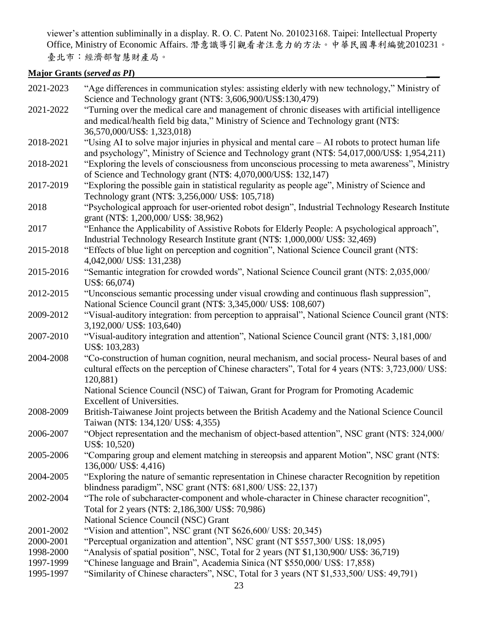viewer's attention subliminally in a display. R. O. C. Patent No. 201023168. Taipei: Intellectual Property Office, Ministry of Economic Affairs. 潛意識導引觀看者注意力的方法。中華民國專利編號2010231。 臺北市:經濟部智慧財產局。

# **Major Grants (***served as PI***) \_\_\_**

| 2021-2023 | "Age differences in communication styles: assisting elderly with new technology," Ministry of<br>Science and Technology grant (NT\$: 3,606,900/US\$:130,479)                          |
|-----------|---------------------------------------------------------------------------------------------------------------------------------------------------------------------------------------|
| 2021-2022 | "Turning over the medical care and management of chronic diseases with artificial intelligence<br>and medical/health field big data," Ministry of Science and Technology grant (NT\$: |
|           | 36,570,000/US\$: 1,323,018)                                                                                                                                                           |
| 2018-2021 | "Using AI to solve major injuries in physical and mental care – AI robots to protect human life                                                                                       |
|           | and psychology", Ministry of Science and Technology grant (NT\$: 54,017,000/US\$: 1,954,211)                                                                                          |
| 2018-2021 | "Exploring the levels of consciousness from unconscious processing to meta awareness", Ministry<br>of Science and Technology grant (NT\$: 4,070,000/US\$: 132,147)                    |
| 2017-2019 | "Exploring the possible gain in statistical regularity as people age", Ministry of Science and<br>Technology grant (NT\$: 3,256,000/ US\$: 105,718)                                   |
| 2018      | "Psychological approach for user-oriented robot design", Industrial Technology Research Institute<br>grant (NT\$: 1,200,000/ US\$: 38,962)                                            |
| 2017      | "Enhance the Applicability of Assistive Robots for Elderly People: A psychological approach",<br>Industrial Technology Research Institute grant (NT\$: 1,000,000/ US\$: 32,469)       |
| 2015-2018 | "Effects of blue light on perception and cognition", National Science Council grant (NT\$:<br>4,042,000/ US\$: 131,238)                                                               |
| 2015-2016 | "Semantic integration for crowded words", National Science Council grant (NT\$: 2,035,000/                                                                                            |
| 2012-2015 | US\$: 66,074)<br>"Unconscious semantic processing under visual crowding and continuous flash suppression",                                                                            |
|           | National Science Council grant (NT\$: 3,345,000/ US\$: 108,607)                                                                                                                       |
| 2009-2012 | "Visual-auditory integration: from perception to appraisal", National Science Council grant (NT\$:                                                                                    |
|           | 3,192,000/ US\$: 103,640)                                                                                                                                                             |
| 2007-2010 | "Visual-auditory integration and attention", National Science Council grant (NT\$: 3,181,000/<br>US\$: 103,283)                                                                       |
| 2004-2008 | "Co-construction of human cognition, neural mechanism, and social process- Neural bases of and                                                                                        |
|           | cultural effects on the perception of Chinese characters", Total for 4 years (NT\$: 3,723,000/ US\$:<br>120,881)                                                                      |
|           | National Science Council (NSC) of Taiwan, Grant for Program for Promoting Academic<br>Excellent of Universities.                                                                      |
| 2008-2009 | British-Taiwanese Joint projects between the British Academy and the National Science Council<br>Taiwan (NT\$: 134,120/ US\$: 4,355)                                                  |
| 2006-2007 | "Object representation and the mechanism of object-based attention", NSC grant (NT\$: 324,000/<br>US\$: 10,520)                                                                       |
| 2005-2006 | "Comparing group and element matching in stereopsis and apparent Motion", NSC grant (NT\$:<br>136,000/ US\$: 4,416)                                                                   |
| 2004-2005 | "Exploring the nature of semantic representation in Chinese character Recognition by repetition<br>blindness paradigm", NSC grant (NT\$: 681,800/ US\$: 22,137)                       |
| 2002-2004 | "The role of subcharacter-component and whole-character in Chinese character recognition",<br>Total for 2 years (NT\$: 2,186,300/ US\$: 70,986)                                       |
|           | National Science Council (NSC) Grant                                                                                                                                                  |
| 2001-2002 | "Vision and attention", NSC grant (NT \$626,600/ US\$: 20,345)                                                                                                                        |
| 2000-2001 | "Perceptual organization and attention", NSC grant (NT \$557,300/ US\$: 18,095)                                                                                                       |
| 1998-2000 | "Analysis of spatial position", NSC, Total for 2 years (NT \$1,130,900/ US\$: 36,719)                                                                                                 |
| 1997-1999 | "Chinese language and Brain", Academia Sinica (NT \$550,000/ US\$: 17,858)                                                                                                            |
| 1995-1997 | "Similarity of Chinese characters", NSC, Total for 3 years (NT \$1,533,500/ US\$: 49,791)                                                                                             |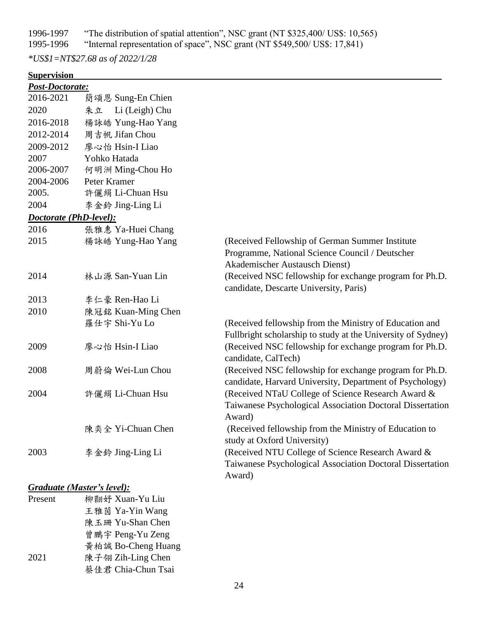1996-1997 "The distribution of spatial attention", NSC grant (NT \$325,400/ US\$: 10,565)

1995-1996 "Internal representation of space", NSC grant (NT \$549,500/ US\$: 17,841)

*\*US\$1=NT\$27.68 as of 2022/1/28*

# **Supervision**

| Post-Doctorate:        |                      |                                                                                                                     |
|------------------------|----------------------|---------------------------------------------------------------------------------------------------------------------|
| 2016-2021              | 簡頌恩 Sung-En Chien    |                                                                                                                     |
| 2020                   | Li (Leigh) Chu<br>朱立 |                                                                                                                     |
| 2016-2018              | 楊詠皓 Yung-Hao Yang    |                                                                                                                     |
| 2012-2014              | 周吉帆 Jifan Chou       |                                                                                                                     |
| 2009-2012              | 廖心怡 Hsin-I Liao      |                                                                                                                     |
| 2007                   | Yohko Hatada         |                                                                                                                     |
| 2006-2007              | 何明洲 Ming-Chou Ho     |                                                                                                                     |
| 2004-2006              | Peter Kramer         |                                                                                                                     |
| 2005.                  | 許儷絹 Li-Chuan Hsu     |                                                                                                                     |
| 2004                   | 李金鈴 Jing-Ling Li     |                                                                                                                     |
| Doctorate (PhD-level): |                      |                                                                                                                     |
| 2016                   | 張雅惠 Ya-Huei Chang    |                                                                                                                     |
| 2015                   | 楊詠皓 Yung-Hao Yang    | (Received Fellowship of German Summer Institute)                                                                    |
|                        |                      | Programme, National Science Council / Deutscher                                                                     |
|                        |                      | Akademischer Austausch Dienst)                                                                                      |
| 2014                   | 林山源 San-Yuan Lin     | (Received NSC fellowship for exchange program for Ph.D.                                                             |
|                        |                      | candidate, Descarte University, Paris)                                                                              |
| 2013                   | 李仁豪 Ren-Hao Li       |                                                                                                                     |
| 2010                   | 陳冠銘 Kuan-Ming Chen   |                                                                                                                     |
|                        | 羅仕宇 Shi-Yu Lo        | (Received fellowship from the Ministry of Education and                                                             |
|                        |                      | Fullbright scholarship to study at the University of Sydney)                                                        |
| 2009                   | 廖心怡 Hsin-I Liao      | (Received NSC fellowship for exchange program for Ph.D.                                                             |
| 2008                   |                      | candidate, CalTech)                                                                                                 |
|                        | 周蔚倫 Wei-Lun Chou     | (Received NSC fellowship for exchange program for Ph.D.<br>candidate, Harvard University, Department of Psychology) |
| 2004                   | 許儷絹 Li-Chuan Hsu     | (Received NTaU College of Science Research Award &                                                                  |
|                        |                      | Taiwanese Psychological Association Doctoral Dissertation                                                           |
|                        |                      | Award)                                                                                                              |
|                        | 陳奕全 Yi-Chuan Chen    | (Received fellowship from the Ministry of Education to                                                              |
|                        |                      | study at Oxford University)                                                                                         |
| 2003                   | 李金鈴 Jing-Ling Li     | (Received NTU College of Science Research Award &                                                                   |
|                        |                      | Taiwanese Psychological Association Doctoral Dissertation                                                           |
|                        |                      | Award)                                                                                                              |
|                        |                      |                                                                                                                     |

## *Graduate (Master's level):*

| Present | 柳翾妤 Xuan-Yu Liu    |
|---------|--------------------|
|         | 王雅茵 Ya-Yin Wang    |
|         | 陳玉珊 Yu-Shan Chen   |
|         | 曾鵬宇 Peng-Yu Zeng   |
|         | 黃柏誠 Bo-Cheng Huang |
| 2021    | 陳子翎 Zih-Ling Chen  |
|         | 蔡佳君 Chia-Chun Tsai |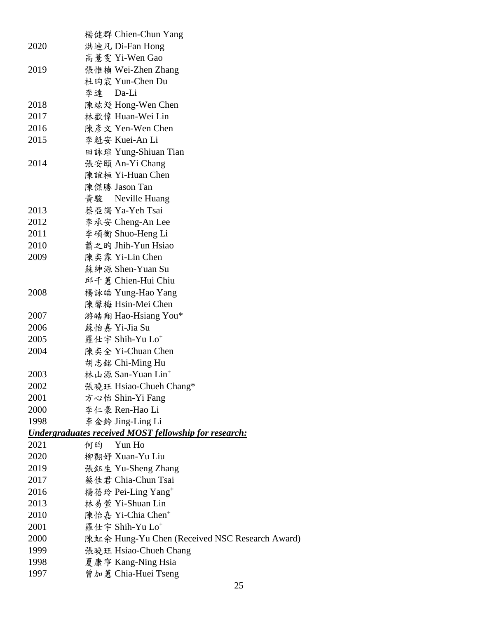|      | 楊健群 Chien-Chun Yang                                          |
|------|--------------------------------------------------------------|
| 2020 | 洪迪凡 Di-Fan Hong                                              |
|      | 高薏雯 Yi-Wen Gao                                               |
| 2019 | 張惟楨 Wei-Zhen Zhang                                           |
|      | 杜昀宸 Yun-Chen Du                                              |
|      | 李達 Da-Li                                                     |
| 2018 | 陳竑彣 Hong-Wen Chen                                            |
| 2017 | 林歡偉 Huan-Wei Lin                                             |
| 2016 | 陳彥文 Yen-Wen Chen                                             |
| 2015 | 李魁安 Kuei-An Li                                               |
|      | 田詠瑄 Yung-Shiuan Tian                                         |
| 2014 | 張安頤 An-Yi Chang                                              |
|      | 陳誼桓 Yi-Huan Chen                                             |
|      | 陳傑勝 Jason Tan                                                |
|      | 黃駿<br>Neville Huang                                          |
| 2013 | 蔡亞謁 Ya-Yeh Tsai                                              |
| 2012 | 李承安 Cheng-An Lee                                             |
| 2011 | 李碩衡 Shuo-Heng Li                                             |
| 2010 | 蕭之昀 Jhih-Yun Hsiao                                           |
| 2009 | 陳奕霖 Yi-Lin Chen                                              |
|      | 蘇紳源 Shen-Yuan Su                                             |
|      | 邱千蕙 Chien-Hui Chiu                                           |
| 2008 | 楊詠皓 Yung-Hao Yang                                            |
|      | 陳馨梅 Hsin-Mei Chen                                            |
| 2007 | 游皓翔 Hao-Hsiang You*                                          |
| 2006 | 蘇怡嘉 Yi-Jia Su                                                |
| 2005 | 羅仕宇 Shih-Yu Lo <sup>+</sup>                                  |
| 2004 | 陳奕全 Yi-Chuan Chen                                            |
|      | 胡志銘 Chi-Ming Hu                                              |
| 2003 | 林山源 San-Yuan Lin <sup>+</sup>                                |
| 2002 | 張曉玨 Hsiao-Chueh Chang*                                       |
| 2001 | 方心怡 Shin-Yi Fang                                             |
| 2000 | 李仁豪 Ren-Hao Li                                               |
| 1998 | 李金鈴 Jing-Ling Li                                             |
|      | <b>Undergraduates received MOST fellowship for research:</b> |
| 2021 | 何昀<br>Yun Ho                                                 |
| 2020 | 柳翾好 Xuan-Yu Liu                                              |
| 2019 | 張鈺生 Yu-Sheng Zhang                                           |
| 2017 | 蔡佳君 Chia-Chun Tsai                                           |
| 2016 | 楊蓓玲 Pei-Ling Yang <sup>+</sup>                               |
| 2013 | 林易萱 Yi-Shuan Lin                                             |
| 2010 | 陳怡嘉 Yi-Chia Chen <sup>+</sup>                                |
| 2001 | 羅仕宇 Shih-Yu Lo <sup>+</sup>                                  |
| 2000 | 陳虹余 Hung-Yu Chen (Received NSC Research Award)               |
| 1999 | 張曉玨 Hsiao-Chueh Chang                                        |
| 1998 | 夏康寧 Kang-Ning Hsia                                           |
| 1997 | 曾加蕙 Chia-Huei Tseng                                          |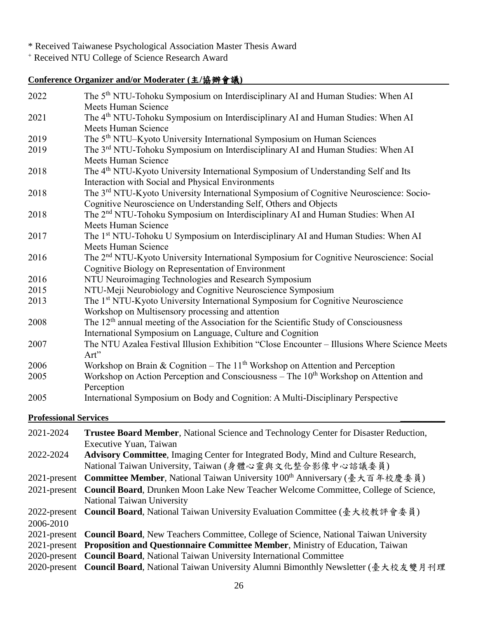\* Received Taiwanese Psychological Association Master Thesis Award

<sup>+</sup> Received NTU College of Science Research Award

# **Conference Organizer and/or Moderater (**主**/**協辦會議**)**

| 2022 | The 5 <sup>th</sup> NTU-Tohoku Symposium on Interdisciplinary AI and Human Studies: When AI                                                                            |
|------|------------------------------------------------------------------------------------------------------------------------------------------------------------------------|
|      | <b>Meets Human Science</b>                                                                                                                                             |
| 2021 | The 4 <sup>th</sup> NTU-Tohoku Symposium on Interdisciplinary AI and Human Studies: When AI<br><b>Meets Human Science</b>                                              |
| 2019 | The 5 <sup>th</sup> NTU–Kyoto University International Symposium on Human Sciences                                                                                     |
| 2019 | The 3rd NTU-Tohoku Symposium on Interdisciplinary AI and Human Studies: When AI<br><b>Meets Human Science</b>                                                          |
| 2018 | The 4 <sup>th</sup> NTU-Kyoto University International Symposium of Understanding Self and Its<br>Interaction with Social and Physical Environments                    |
| 2018 | The 3 <sup>rd</sup> NTU-Kyoto University International Symposium of Cognitive Neuroscience: Socio-<br>Cognitive Neuroscience on Understanding Self, Others and Objects |
| 2018 | The 2 <sup>nd</sup> NTU-Tohoku Symposium on Interdisciplinary AI and Human Studies: When AI<br><b>Meets Human Science</b>                                              |
| 2017 | The 1 <sup>st</sup> NTU-Tohoku U Symposium on Interdisciplinary AI and Human Studies: When AI<br><b>Meets Human Science</b>                                            |
| 2016 | The 2 <sup>nd</sup> NTU-Kyoto University International Symposium for Cognitive Neuroscience: Social<br>Cognitive Biology on Representation of Environment              |
| 2016 | NTU Neuroimaging Technologies and Research Symposium                                                                                                                   |
| 2015 | NTU-Meji Neurobiology and Cognitive Neuroscience Symposium                                                                                                             |
| 2013 | The 1 <sup>st</sup> NTU-Kyoto University International Symposium for Cognitive Neuroscience<br>Workshop on Multisensory processing and attention                       |
| 2008 | The $12th$ annual meeting of the Association for the Scientific Study of Consciousness<br>International Symposium on Language, Culture and Cognition                   |
| 2007 | The NTU Azalea Festival Illusion Exhibition "Close Encounter - Illusions Where Science Meets<br>Art"                                                                   |
| 2006 | Workshop on Brain & Cognition – The $11th$ Workshop on Attention and Perception                                                                                        |
| 2005 | Workshop on Action Perception and Consciousness – The $10th$ Workshop on Attention and<br>Perception                                                                   |
| 2005 | International Symposium on Body and Cognition: A Multi-Disciplinary Perspective                                                                                        |

### **Professional Services \_\_\_\_\_\_\_\_\_\_**

| 2021-2024 | Trustee Board Member, National Science and Technology Center for Disaster Reduction,               |  |  |
|-----------|----------------------------------------------------------------------------------------------------|--|--|
|           | Executive Yuan, Taiwan                                                                             |  |  |
| 2022-2024 | <b>Advisory Committee, Imaging Center for Integrated Body, Mind and Culture Research,</b>          |  |  |
|           | National Taiwan University, Taiwan (身體心靈與文化整合影像中心諮議委員)                                             |  |  |
|           | 2021-present Committee Member, National Taiwan University 100 <sup>th</sup> Anniversary (臺大百年校慶委員) |  |  |
|           | 2021-present Council Board, Drunken Moon Lake New Teacher Welcome Committee, College of Science,   |  |  |
|           | National Taiwan University                                                                         |  |  |
|           | 2022-present Council Board, National Taiwan University Evaluation Committee (毫大校教評會委員)             |  |  |
| 2006-2010 |                                                                                                    |  |  |
|           | 2021-present Council Board, New Teachers Committee, College of Science, National Taiwan University |  |  |
|           | 2021-present Proposition and Questionnaire Committee Member, Ministry of Education, Taiwan         |  |  |
|           | 2020-present Council Board, National Taiwan University International Committee                     |  |  |
|           | 2020-present Council Board, National Taiwan University Alumni Bimonthly Newsletter (臺大校友雙月刊理       |  |  |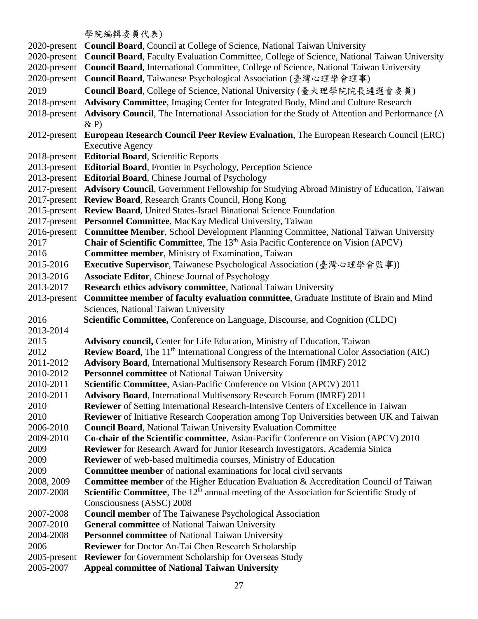學院 编輯 泰昌代表)

|                           | 子  九洲キサ 女 只 1 \ イメ ノ                                                                                                           |
|---------------------------|--------------------------------------------------------------------------------------------------------------------------------|
| 2020-present              | <b>Council Board, Council at College of Science, National Taiwan University</b>                                                |
| 2020-present              | <b>Council Board, Faculty Evaluation Committee, College of Science, National Taiwan University</b>                             |
| 2020-present              | Council Board, International Committee, College of Science, National Taiwan University                                         |
| 2020-present              | Council Board, Taiwanese Psychological Association (臺灣心理學會理事)                                                                  |
| 2019                      | Council Board, College of Science, National University (臺大理學院院長遴選會委員)                                                          |
| 2018-present              | Advisory Committee, Imaging Center for Integrated Body, Mind and Culture Research                                              |
| 2018-present              | Advisory Council, The International Association for the Study of Attention and Performance (A                                  |
|                           | $\& P)$                                                                                                                        |
| 2012-present              | European Research Council Peer Review Evaluation, The European Research Council (ERC)                                          |
|                           | <b>Executive Agency</b>                                                                                                        |
|                           | 2018-present Editorial Board, Scientific Reports                                                                               |
|                           | 2013-present Editorial Board, Frontier in Psychology, Perception Science                                                       |
|                           | 2013-present Editorial Board, Chinese Journal of Psychology                                                                    |
|                           | 2017-present Advisory Council, Government Fellowship for Studying Abroad Ministry of Education, Taiwan                         |
| 2017-present              | <b>Review Board, Research Grants Council, Hong Kong</b>                                                                        |
| 2015-present              | <b>Review Board, United States-Israel Binational Science Foundation</b>                                                        |
|                           | 2017-present Personnel Committee, MacKay Medical University, Taiwan                                                            |
| 2016-present              | <b>Committee Member, School Development Planning Committee, National Taiwan University</b>                                     |
| 2017                      | Chair of Scientific Committee, The 13 <sup>th</sup> Asia Pacific Conference on Vision (APCV)                                   |
| 2016                      | <b>Committee member, Ministry of Examination, Taiwan</b>                                                                       |
| 2015-2016                 | <b>Executive Supervisor</b> , Taiwanese Psychological Association (臺灣心理學會監事))                                                  |
| 2013-2016                 |                                                                                                                                |
|                           | <b>Associate Editor, Chinese Journal of Psychology</b>                                                                         |
| 2013-2017<br>2013-present | Research ethics advisory committee, National Taiwan University                                                                 |
|                           | Committee member of faculty evaluation committee, Graduate Institute of Brain and Mind<br>Sciences, National Taiwan University |
| 2016                      | Scientific Committee, Conference on Language, Discourse, and Cognition (CLDC)                                                  |
| 2013-2014                 |                                                                                                                                |
| 2015                      | Advisory council, Center for Life Education, Ministry of Education, Taiwan                                                     |
| 2012                      | <b>Review Board</b> , The 11 <sup>th</sup> International Congress of the International Color Association (AIC)                 |
| 2011-2012                 | <b>Advisory Board, International Multisensory Research Forum (IMRF) 2012</b>                                                   |
| 2010-2012                 | Personnel committee of National Taiwan University                                                                              |
| 2010-2011                 | Scientific Committee, Asian-Pacific Conference on Vision (APCV) 2011                                                           |
| 2010-2011                 | <b>Advisory Board, International Multisensory Research Forum (IMRF) 2011</b>                                                   |
| 2010                      | Reviewer of Setting International Research-Intensive Centers of Excellence in Taiwan                                           |
| 2010                      | <b>Reviewer</b> of Initiative Research Cooperation among Top Universities between UK and Taiwan                                |
| 2006-2010                 | <b>Council Board, National Taiwan University Evaluation Committee</b>                                                          |
| 2009-2010                 | Co-chair of the Scientific committee, Asian-Pacific Conference on Vision (APCV) 2010                                           |
| 2009                      | Reviewer for Research Award for Junior Research Investigators, Academia Sinica                                                 |
| 2009                      | Reviewer of web-based multimedia courses, Ministry of Education                                                                |
| 2009                      | <b>Committee member</b> of national examinations for local civil servants                                                      |
| 2008, 2009                | Committee member of the Higher Education Evaluation & Accreditation Council of Taiwan                                          |
| 2007-2008                 | <b>Scientific Committee</b> , The $12th$ annual meeting of the Association for Scientific Study of                             |
|                           | Consciousness (ASSC) 2008                                                                                                      |
| 2007-2008                 | <b>Council member</b> of The Taiwanese Psychological Association                                                               |
| 2007-2010                 | <b>General committee</b> of National Taiwan University                                                                         |
| 2004-2008                 | Personnel committee of National Taiwan University                                                                              |
| 2006                      | <b>Reviewer</b> for Doctor An-Tai Chen Research Scholarship                                                                    |
| 2005-present              | <b>Reviewer</b> for Government Scholarship for Overseas Study                                                                  |
| 2005-2007                 | <b>Appeal committee of National Taiwan University</b>                                                                          |
|                           |                                                                                                                                |
|                           |                                                                                                                                |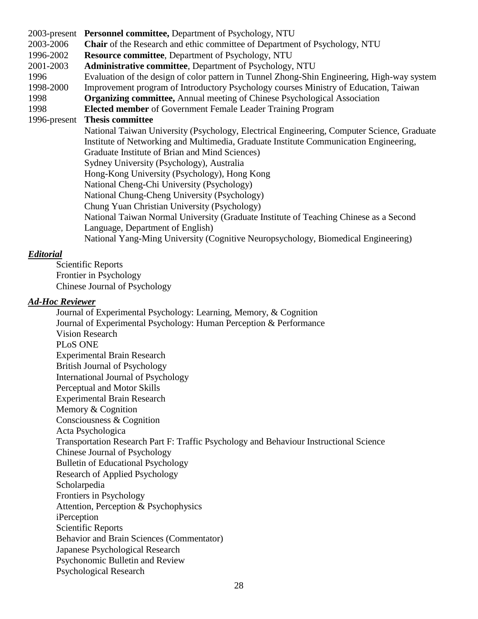2003-present **Personnel committee,** Department of Psychology, NTU 2003-2006 **Chair** of the Research and ethic committee of Department of Psychology, NTU 1996-2002 **Resource committee**, Department of Psychology, NTU 2001-2003 **Administrative committee**, Department of Psychology, NTU 1996 Evaluation of the design of color pattern in Tunnel Zhong-Shin Engineering, High-way system 1998-2000 Improvement program of Introductory Psychology courses Ministry of Education, Taiwan 1998 **Organizing committee,** Annual meeting of Chinese Psychological Association 1998 **Elected member** of Government Female Leader Training Program 1996-present **Thesis committee** National Taiwan University (Psychology, Electrical Engineering, Computer Science, Graduate Institute of Networking and Multimedia, Graduate Institute Communication Engineering, Graduate Institute of Brian and Mind Sciences) Sydney University (Psychology), Australia Hong-Kong University (Psychology), Hong Kong National Cheng-Chi University (Psychology) National Chung-Cheng University (Psychology) Chung Yuan Christian University (Psychology) National Taiwan Normal University (Graduate Institute of Teaching Chinese as a Second Language, Department of English) National Yang-Ming University (Cognitive Neuropsychology, Biomedical Engineering)

#### *Editorial*

Scientific Reports Frontier in Psychology Chinese Journal of Psychology

#### *Ad-Hoc Reviewer*

Journal of Experimental Psychology: Learning, Memory, & Cognition Journal of Experimental Psychology: Human Perception & Performance Vision Research PLoS ONE Experimental Brain Research British Journal of Psychology International Journal of Psychology Perceptual and Motor Skills Experimental Brain Research Memory & Cognition Consciousness & Cognition Acta Psychologica Transportation Research Part F: Traffic Psychology and Behaviour Instructional Science Chinese Journal of Psychology Bulletin of Educational Psychology Research of Applied Psychology Scholarpedia Frontiers in Psychology Attention, Perception & Psychophysics iPerception Scientific Reports Behavior and Brain Sciences (Commentator) Japanese Psychological Research Psychonomic Bulletin and Review Psychological Research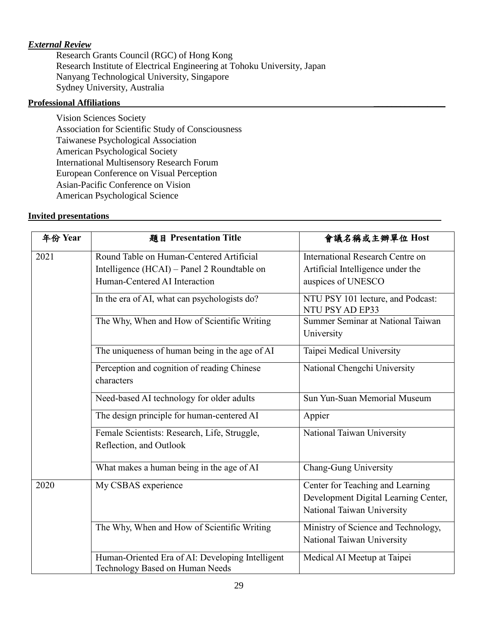## *External Review*

Research Grants Council (RGC) of Hong Kong Research Institute of Electrical Engineering at Tohoku University, Japan Nanyang Technological University, Singapore Sydney University, Australia

#### **Professional Affiliations \_\_\_\_\_\_\_\_\_\_\_\_\_\_\_\_**

Vision Sciences Society Association for Scientific Study of Consciousness Taiwanese Psychological Association American Psychological Society International Multisensory Research Forum European Conference on Visual Perception Asian-Pacific Conference on Vision American Psychological Science

#### **Invited presentations**

| 年份 Year | 題目 Presentation Title                                                                   | 會議名稱或主辦單位 Host                                                                                         |
|---------|-----------------------------------------------------------------------------------------|--------------------------------------------------------------------------------------------------------|
| 2021    | Round Table on Human-Centered Artificial<br>Intelligence (HCAI) – Panel 2 Roundtable on | International Research Centre on<br>Artificial Intelligence under the                                  |
|         | Human-Centered AI Interaction                                                           | auspices of UNESCO                                                                                     |
|         | In the era of AI, what can psychologists do?                                            | NTU PSY 101 lecture, and Podcast:<br>NTU PSY AD EP33                                                   |
|         | The Why, When and How of Scientific Writing                                             | Summer Seminar at National Taiwan<br>University                                                        |
|         | The uniqueness of human being in the age of AI                                          | Taipei Medical University                                                                              |
|         | Perception and cognition of reading Chinese<br>characters                               | National Chengchi University                                                                           |
|         | Need-based AI technology for older adults                                               | Sun Yun-Suan Memorial Museum                                                                           |
|         | The design principle for human-centered AI                                              | Appier                                                                                                 |
|         | Female Scientists: Research, Life, Struggle,<br>Reflection, and Outlook                 | National Taiwan University                                                                             |
|         | What makes a human being in the age of AI                                               | Chang-Gung University                                                                                  |
| 2020    | My CSBAS experience                                                                     | Center for Teaching and Learning<br>Development Digital Learning Center,<br>National Taiwan University |
|         | The Why, When and How of Scientific Writing                                             | Ministry of Science and Technology,<br>National Taiwan University                                      |
|         | Human-Oriented Era of AI: Developing Intelligent<br>Technology Based on Human Needs     | Medical AI Meetup at Taipei                                                                            |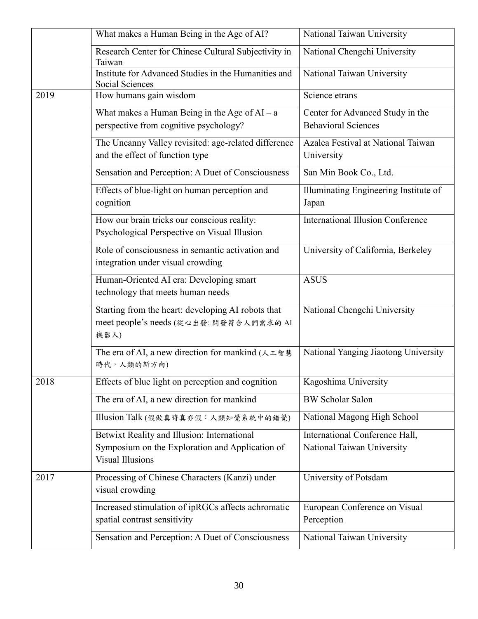|      | What makes a Human Being in the Age of AI?                                                                                | National Taiwan University                                     |
|------|---------------------------------------------------------------------------------------------------------------------------|----------------------------------------------------------------|
|      | Research Center for Chinese Cultural Subjectivity in<br>Taiwan                                                            | National Chengchi University                                   |
|      | Institute for Advanced Studies in the Humanities and<br><b>Social Sciences</b>                                            | National Taiwan University                                     |
| 2019 | How humans gain wisdom                                                                                                    | Science etrans                                                 |
|      | What makes a Human Being in the Age of $AI - a$<br>perspective from cognitive psychology?                                 | Center for Advanced Study in the<br><b>Behavioral Sciences</b> |
|      | The Uncanny Valley revisited: age-related difference<br>and the effect of function type                                   | Azalea Festival at National Taiwan<br>University               |
|      | Sensation and Perception: A Duet of Consciousness                                                                         | San Min Book Co., Ltd.                                         |
|      | Effects of blue-light on human perception and<br>cognition                                                                | Illuminating Engineering Institute of<br>Japan                 |
|      | How our brain tricks our conscious reality:<br>Psychological Perspective on Visual Illusion                               | <b>International Illusion Conference</b>                       |
|      | Role of consciousness in semantic activation and<br>integration under visual crowding                                     | University of California, Berkeley                             |
|      | Human-Oriented AI era: Developing smart<br>technology that meets human needs                                              | <b>ASUS</b>                                                    |
|      | Starting from the heart: developing AI robots that<br>meet people's needs (從心出發: 開發符合人們需求的 AI<br>機器人)                     | National Chengchi University                                   |
|      | The era of AI, a new direction for mankind (人工智慧<br>時代,人類的新方向)                                                            | National Yanging Jiaotong University                           |
| 2018 | Effects of blue light on perception and cognition                                                                         | Kagoshima University                                           |
|      | The era of AI, a new direction for mankind                                                                                | <b>BW Scholar Salon</b>                                        |
|      | Illusion Talk (假做真時真亦假:人類知覺系統中的錯覺)                                                                                        | National Magong High School                                    |
|      | Betwixt Reality and Illusion: International<br>Symposium on the Exploration and Application of<br><b>Visual Illusions</b> | International Conference Hall,<br>National Taiwan University   |
| 2017 | Processing of Chinese Characters (Kanzi) under<br>visual crowding                                                         | University of Potsdam                                          |
|      | Increased stimulation of ipRGCs affects achromatic<br>spatial contrast sensitivity                                        | European Conference on Visual<br>Perception                    |
|      | Sensation and Perception: A Duet of Consciousness                                                                         | National Taiwan University                                     |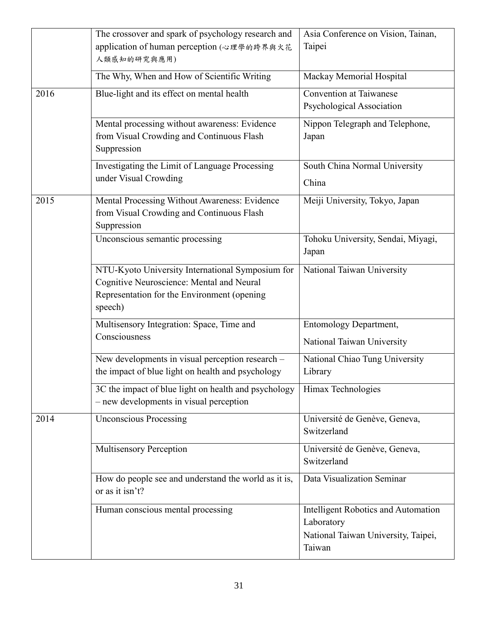|      | The crossover and spark of psychology research and<br>application of human perception (心理學的跨界與火花                                                        | Asia Conference on Vision, Tainan,<br>Taipei                                                       |
|------|---------------------------------------------------------------------------------------------------------------------------------------------------------|----------------------------------------------------------------------------------------------------|
|      | 人類感知的研究與應用)                                                                                                                                             |                                                                                                    |
|      | The Why, When and How of Scientific Writing                                                                                                             | Mackay Memorial Hospital                                                                           |
| 2016 | Blue-light and its effect on mental health                                                                                                              | Convention at Taiwanese<br>Psychological Association                                               |
|      | Mental processing without awareness: Evidence<br>from Visual Crowding and Continuous Flash<br>Suppression                                               | Nippon Telegraph and Telephone,<br>Japan                                                           |
|      | Investigating the Limit of Language Processing<br>under Visual Crowding                                                                                 | South China Normal University<br>China                                                             |
| 2015 | Mental Processing Without Awareness: Evidence<br>from Visual Crowding and Continuous Flash<br>Suppression                                               | Meiji University, Tokyo, Japan                                                                     |
|      | Unconscious semantic processing                                                                                                                         | Tohoku University, Sendai, Miyagi,<br>Japan                                                        |
|      | NTU-Kyoto University International Symposium for<br>Cognitive Neuroscience: Mental and Neural<br>Representation for the Environment (opening<br>speech) | National Taiwan University                                                                         |
|      | Multisensory Integration: Space, Time and<br>Consciousness                                                                                              | <b>Entomology Department,</b><br>National Taiwan University                                        |
|      | New developments in visual perception research -<br>the impact of blue light on health and psychology                                                   | National Chiao Tung University<br>Library                                                          |
|      | 3C the impact of blue light on health and psychology<br>- new developments in visual perception                                                         | Himax Technologies                                                                                 |
| 2014 | <b>Unconscious Processing</b>                                                                                                                           | Université de Genève, Geneva,<br>Switzerland                                                       |
|      | <b>Multisensory Perception</b>                                                                                                                          | Université de Genève, Geneva,<br>Switzerland                                                       |
|      | How do people see and understand the world as it is,<br>or as it isn't?                                                                                 | Data Visualization Seminar                                                                         |
|      | Human conscious mental processing                                                                                                                       | Intelligent Robotics and Automation<br>Laboratory<br>National Taiwan University, Taipei,<br>Taiwan |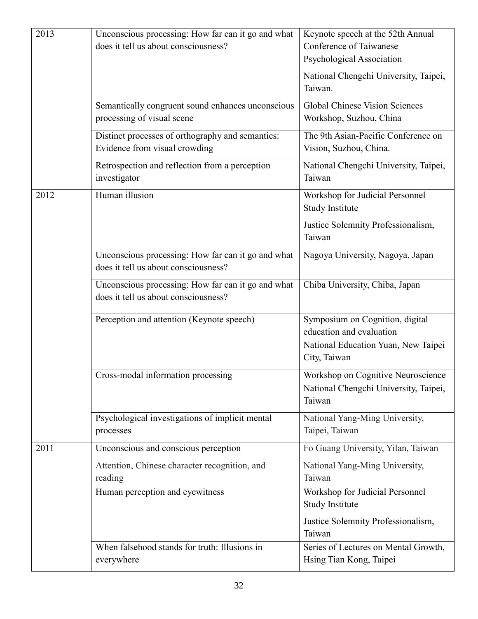| 2013 | Unconscious processing: How far can it go and what | Keynote speech at the 52th Annual            |
|------|----------------------------------------------------|----------------------------------------------|
|      | does it tell us about consciousness?               | Conference of Taiwanese                      |
|      |                                                    | Psychological Association                    |
|      |                                                    |                                              |
|      |                                                    | National Chengchi University, Taipei,        |
|      |                                                    | Taiwan.                                      |
|      | Semantically congruent sound enhances unconscious  | <b>Global Chinese Vision Sciences</b>        |
|      | processing of visual scene                         | Workshop, Suzhou, China                      |
|      | Distinct processes of orthography and semantics:   | The 9th Asian-Pacific Conference on          |
|      | Evidence from visual crowding                      | Vision, Suzhou, China.                       |
|      |                                                    |                                              |
|      | Retrospection and reflection from a perception     | National Chengchi University, Taipei,        |
|      | investigator                                       | Taiwan                                       |
| 2012 | Human illusion                                     | Workshop for Judicial Personnel              |
|      |                                                    | <b>Study Institute</b>                       |
|      |                                                    | Justice Solemnity Professionalism,           |
|      |                                                    | Taiwan                                       |
|      |                                                    |                                              |
|      | Unconscious processing: How far can it go and what | Nagoya University, Nagoya, Japan             |
|      | does it tell us about consciousness?               |                                              |
|      | Unconscious processing: How far can it go and what | Chiba University, Chiba, Japan               |
|      | does it tell us about consciousness?               |                                              |
|      |                                                    |                                              |
|      | Perception and attention (Keynote speech)          | Symposium on Cognition, digital              |
|      |                                                    | education and evaluation                     |
|      |                                                    | National Education Yuan, New Taipei          |
|      |                                                    | City, Taiwan                                 |
|      | Cross-modal information processing                 | Workshop on Cognitive Neuroscience           |
|      |                                                    |                                              |
|      |                                                    | National Chengchi University, Taipei,        |
|      |                                                    | Taiwan                                       |
|      | Psychological investigations of implicit mental    | National Yang-Ming University,               |
|      | processes                                          | Taipei, Taiwan                               |
| 2011 | Unconscious and conscious perception               | Fo Guang University, Yilan, Taiwan           |
|      | Attention, Chinese character recognition, and      | National Yang-Ming University,               |
|      | reading                                            | Taiwan                                       |
|      | Human perception and eyewitness                    | Workshop for Judicial Personnel              |
|      |                                                    | Study Institute                              |
|      |                                                    |                                              |
|      |                                                    | Justice Solemnity Professionalism,<br>Taiwan |
|      |                                                    |                                              |
|      | When falsehood stands for truth: Illusions in      | Series of Lectures on Mental Growth,         |
|      | everywhere                                         | Hsing Tian Kong, Taipei                      |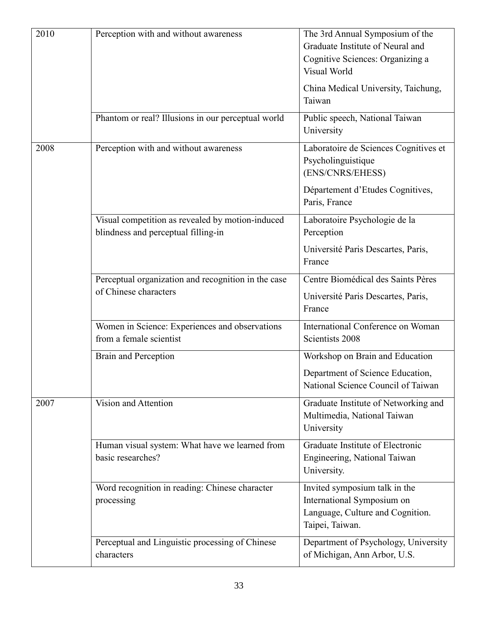| 2010 | Perception with and without awareness<br>Phantom or real? Illusions in our perceptual world | The 3rd Annual Symposium of the<br>Graduate Institute of Neural and<br>Cognitive Sciences: Organizing a<br>Visual World<br>China Medical University, Taichung,<br>Taiwan<br>Public speech, National Taiwan |
|------|---------------------------------------------------------------------------------------------|------------------------------------------------------------------------------------------------------------------------------------------------------------------------------------------------------------|
|      |                                                                                             | University                                                                                                                                                                                                 |
| 2008 | Perception with and without awareness                                                       | Laboratoire de Sciences Cognitives et<br>Psycholinguistique<br>(ENS/CNRS/EHESS)<br>Département d'Etudes Cognitives,                                                                                        |
|      |                                                                                             | Paris, France                                                                                                                                                                                              |
|      | Visual competition as revealed by motion-induced<br>blindness and perceptual filling-in     | Laboratoire Psychologie de la<br>Perception                                                                                                                                                                |
|      |                                                                                             | Université Paris Descartes, Paris,<br>France                                                                                                                                                               |
|      | Perceptual organization and recognition in the case<br>of Chinese characters                | Centre Biomédical des Saints Pères<br>Université Paris Descartes, Paris,<br>France                                                                                                                         |
|      | Women in Science: Experiences and observations<br>from a female scientist                   | International Conference on Woman<br>Scientists 2008                                                                                                                                                       |
|      | Brain and Perception                                                                        | Workshop on Brain and Education<br>Department of Science Education,<br>National Science Council of Taiwan                                                                                                  |
| 2007 | Vision and Attention                                                                        | Graduate Institute of Networking and<br>Multimedia, National Taiwan<br>University                                                                                                                          |
|      | Human visual system: What have we learned from<br>basic researches?                         | Graduate Institute of Electronic<br>Engineering, National Taiwan<br>University.                                                                                                                            |
|      | Word recognition in reading: Chinese character<br>processing                                | Invited symposium talk in the<br>International Symposium on<br>Language, Culture and Cognition.<br>Taipei, Taiwan.                                                                                         |
|      | Perceptual and Linguistic processing of Chinese<br>characters                               | Department of Psychology, University<br>of Michigan, Ann Arbor, U.S.                                                                                                                                       |